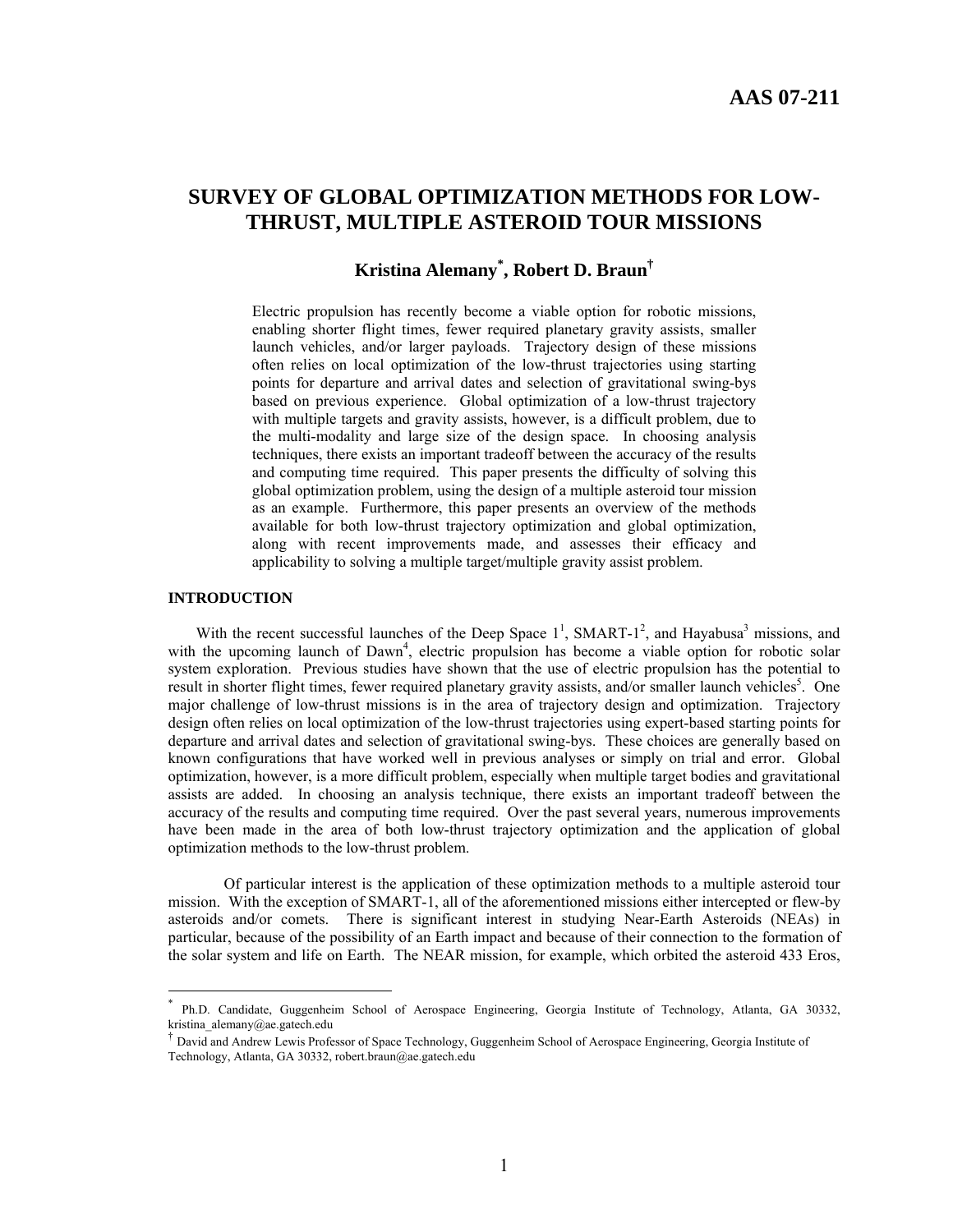# **SURVEY OF GLOBAL OPTIMIZATION METHODS FOR LOW-THRUST, MULTIPLE ASTEROID TOUR MISSIONS**

# **Kristina Alemany\* , Robert D. Braun†**

Electric propulsion has recently become a viable option for robotic missions, enabling shorter flight times, fewer required planetary gravity assists, smaller launch vehicles, and/or larger payloads. Trajectory design of these missions often relies on local optimization of the low-thrust trajectories using starting points for departure and arrival dates and selection of gravitational swing-bys based on previous experience. Global optimization of a low-thrust trajectory with multiple targets and gravity assists, however, is a difficult problem, due to the multi-modality and large size of the design space. In choosing analysis techniques, there exists an important tradeoff between the accuracy of the results and computing time required. This paper presents the difficulty of solving this global optimization problem, using the design of a multiple asteroid tour mission as an example. Furthermore, this paper presents an overview of the methods available for both low-thrust trajectory optimization and global optimization, along with recent improvements made, and assesses their efficacy and applicability to solving a multiple target/multiple gravity assist problem.

## **INTRODUCTION**

 $\overline{a}$ 

With the recent successful launches of the Deep Space  $1^1$ , SMART-1<sup>2</sup>, and Hayabusa<sup>3</sup> missions, and with the upcoming launch of Dawn<sup>4</sup>, electric propulsion has become a viable option for robotic solar system exploration. Previous studies have shown that the use of electric propulsion has the potential to result in shorter flight times, fewer required planetary gravity assists, and/or smaller launch vehicles<sup>5</sup>. One major challenge of low-thrust missions is in the area of trajectory design and optimization. Trajectory design often relies on local optimization of the low-thrust trajectories using expert-based starting points for departure and arrival dates and selection of gravitational swing-bys. These choices are generally based on known configurations that have worked well in previous analyses or simply on trial and error. Global optimization, however, is a more difficult problem, especially when multiple target bodies and gravitational assists are added. In choosing an analysis technique, there exists an important tradeoff between the accuracy of the results and computing time required. Over the past several years, numerous improvements have been made in the area of both low-thrust trajectory optimization and the application of global optimization methods to the low-thrust problem.

Of particular interest is the application of these optimization methods to a multiple asteroid tour mission. With the exception of SMART-1, all of the aforementioned missions either intercepted or flew-by asteroids and/or comets. There is significant interest in studying Near-Earth Asteroids (NEAs) in particular, because of the possibility of an Earth impact and because of their connection to the formation of the solar system and life on Earth. The NEAR mission, for example, which orbited the asteroid 433 Eros,

Ph.D. Candidate, Guggenheim School of Aerospace Engineering, Georgia Institute of Technology, Atlanta, GA 30332, kristina\_alemany@ae.gatech.edu

<sup>†</sup> David and Andrew Lewis Professor of Space Technology, Guggenheim School of Aerospace Engineering, Georgia Institute of Technology, Atlanta, GA 30332, robert.braun@ae.gatech.edu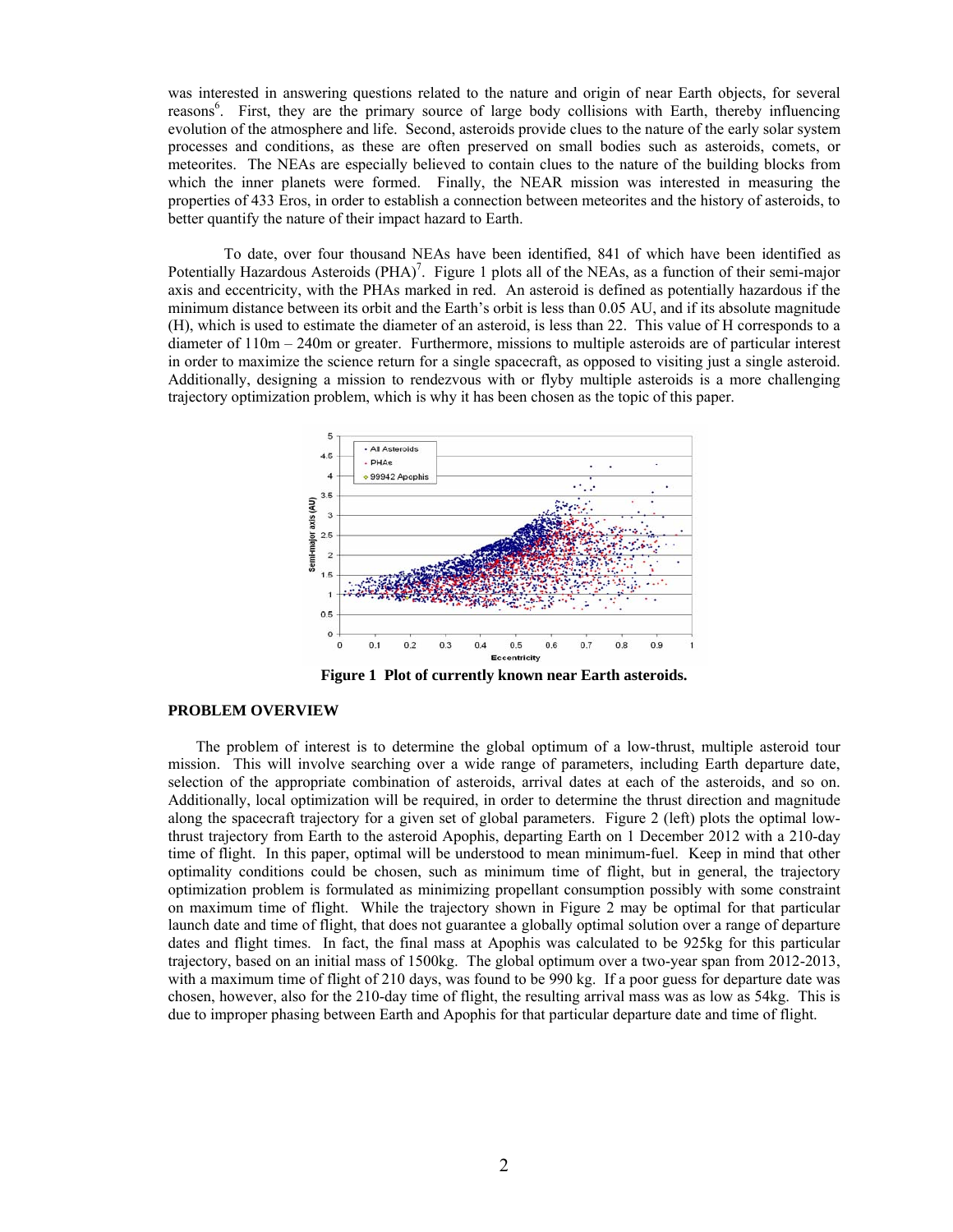was interested in answering questions related to the nature and origin of near Earth objects, for several reasons<sup>6</sup>. First, they are the primary source of large body collisions with Earth, thereby influencing evolution of the atmosphere and life. Second, asteroids provide clues to the nature of the early solar system processes and conditions, as these are often preserved on small bodies such as asteroids, comets, or meteorites. The NEAs are especially believed to contain clues to the nature of the building blocks from which the inner planets were formed. Finally, the NEAR mission was interested in measuring the properties of 433 Eros, in order to establish a connection between meteorites and the history of asteroids, to better quantify the nature of their impact hazard to Earth.

To date, over four thousand NEAs have been identified, 841 of which have been identified as Potentially Hazardous Asteroids  $(PHA)^7$ . Figure 1 plots all of the NEAs, as a function of their semi-major axis and eccentricity, with the PHAs marked in red. An asteroid is defined as potentially hazardous if the minimum distance between its orbit and the Earth's orbit is less than 0.05 AU, and if its absolute magnitude (H), which is used to estimate the diameter of an asteroid, is less than 22. This value of H corresponds to a diameter of 110m – 240m or greater. Furthermore, missions to multiple asteroids are of particular interest in order to maximize the science return for a single spacecraft, as opposed to visiting just a single asteroid. Additionally, designing a mission to rendezvous with or flyby multiple asteroids is a more challenging trajectory optimization problem, which is why it has been chosen as the topic of this paper.



**Figure 1 Plot of currently known near Earth asteroids.** 

## **PROBLEM OVERVIEW**

 The problem of interest is to determine the global optimum of a low-thrust, multiple asteroid tour mission. This will involve searching over a wide range of parameters, including Earth departure date, selection of the appropriate combination of asteroids, arrival dates at each of the asteroids, and so on. Additionally, local optimization will be required, in order to determine the thrust direction and magnitude along the spacecraft trajectory for a given set of global parameters. Figure 2 (left) plots the optimal lowthrust trajectory from Earth to the asteroid Apophis, departing Earth on 1 December 2012 with a 210-day time of flight. In this paper, optimal will be understood to mean minimum-fuel. Keep in mind that other optimality conditions could be chosen, such as minimum time of flight, but in general, the trajectory optimization problem is formulated as minimizing propellant consumption possibly with some constraint on maximum time of flight. While the trajectory shown in Figure 2 may be optimal for that particular launch date and time of flight, that does not guarantee a globally optimal solution over a range of departure dates and flight times. In fact, the final mass at Apophis was calculated to be 925kg for this particular trajectory, based on an initial mass of 1500kg. The global optimum over a two-year span from 2012-2013, with a maximum time of flight of 210 days, was found to be 990 kg. If a poor guess for departure date was chosen, however, also for the 210-day time of flight, the resulting arrival mass was as low as 54kg. This is due to improper phasing between Earth and Apophis for that particular departure date and time of flight.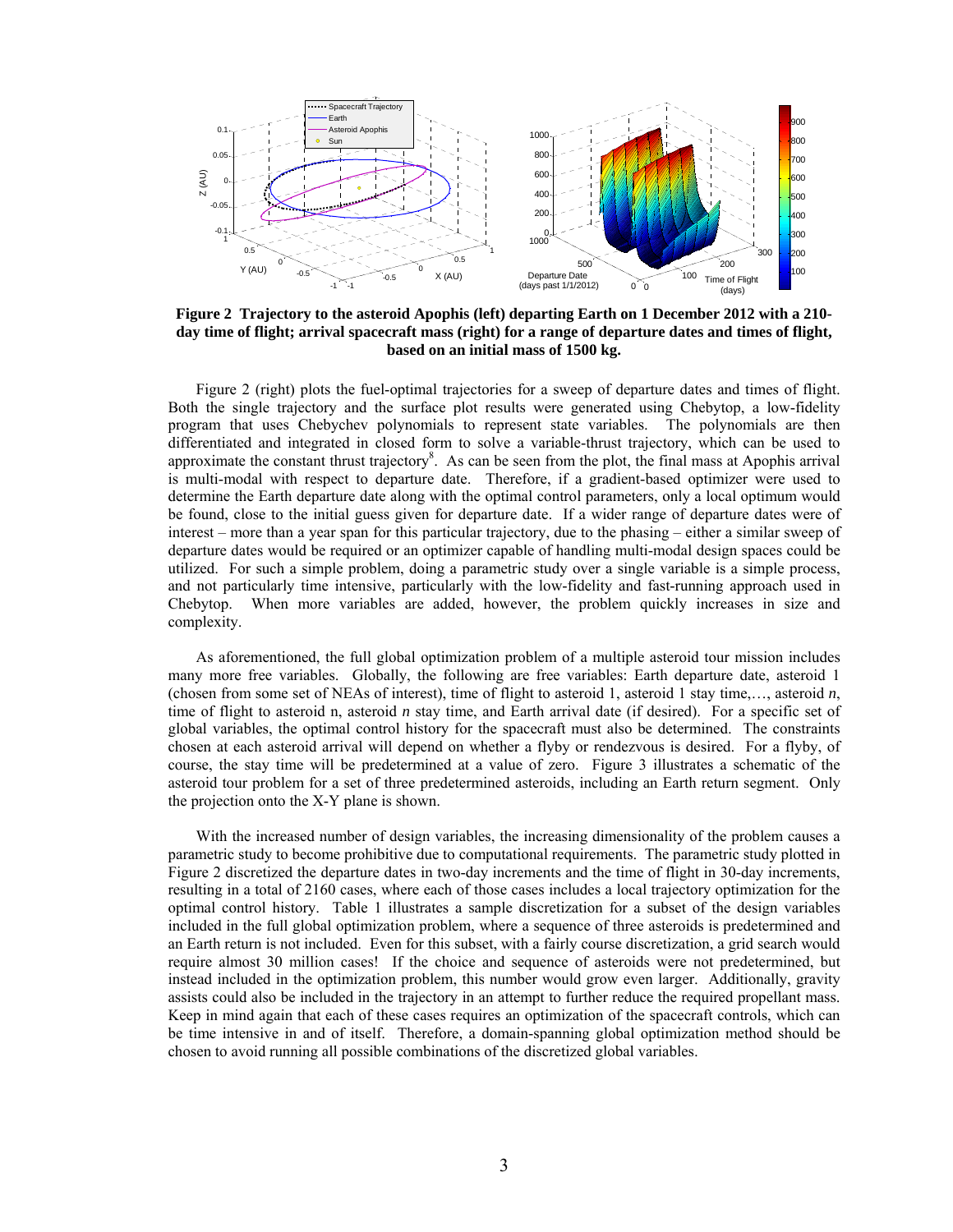

**Figure 2 Trajectory to the asteroid Apophis (left) departing Earth on 1 December 2012 with a 210 day time of flight; arrival spacecraft mass (right) for a range of departure dates and times of flight, based on an initial mass of 1500 kg.** 

 Figure 2 (right) plots the fuel-optimal trajectories for a sweep of departure dates and times of flight. Both the single trajectory and the surface plot results were generated using Chebytop, a low-fidelity program that uses Chebychev polynomials to represent state variables. The polynomials are then differentiated and integrated in closed form to solve a variable-thrust trajectory, which can be used to approximate the constant thrust trajectory $8$ . As can be seen from the plot, the final mass at Apophis arrival is multi-modal with respect to departure date. Therefore, if a gradient-based optimizer were used to determine the Earth departure date along with the optimal control parameters, only a local optimum would be found, close to the initial guess given for departure date. If a wider range of departure dates were of interest – more than a year span for this particular trajectory, due to the phasing – either a similar sweep of departure dates would be required or an optimizer capable of handling multi-modal design spaces could be utilized. For such a simple problem, doing a parametric study over a single variable is a simple process, and not particularly time intensive, particularly with the low-fidelity and fast-running approach used in Chebytop. When more variables are added, however, the problem quickly increases in size and complexity.

 As aforementioned, the full global optimization problem of a multiple asteroid tour mission includes many more free variables. Globally, the following are free variables: Earth departure date, asteroid 1 (chosen from some set of NEAs of interest), time of flight to asteroid 1, asteroid 1 stay time,…, asteroid *n*, time of flight to asteroid n, asteroid *n* stay time, and Earth arrival date (if desired). For a specific set of global variables, the optimal control history for the spacecraft must also be determined. The constraints chosen at each asteroid arrival will depend on whether a flyby or rendezvous is desired. For a flyby, of course, the stay time will be predetermined at a value of zero. Figure 3 illustrates a schematic of the asteroid tour problem for a set of three predetermined asteroids, including an Earth return segment. Only the projection onto the X-Y plane is shown.

 With the increased number of design variables, the increasing dimensionality of the problem causes a parametric study to become prohibitive due to computational requirements. The parametric study plotted in Figure 2 discretized the departure dates in two-day increments and the time of flight in 30-day increments, resulting in a total of 2160 cases, where each of those cases includes a local trajectory optimization for the optimal control history. Table 1 illustrates a sample discretization for a subset of the design variables included in the full global optimization problem, where a sequence of three asteroids is predetermined and an Earth return is not included. Even for this subset, with a fairly course discretization, a grid search would require almost 30 million cases! If the choice and sequence of asteroids were not predetermined, but instead included in the optimization problem, this number would grow even larger. Additionally, gravity assists could also be included in the trajectory in an attempt to further reduce the required propellant mass. Keep in mind again that each of these cases requires an optimization of the spacecraft controls, which can be time intensive in and of itself. Therefore, a domain-spanning global optimization method should be chosen to avoid running all possible combinations of the discretized global variables.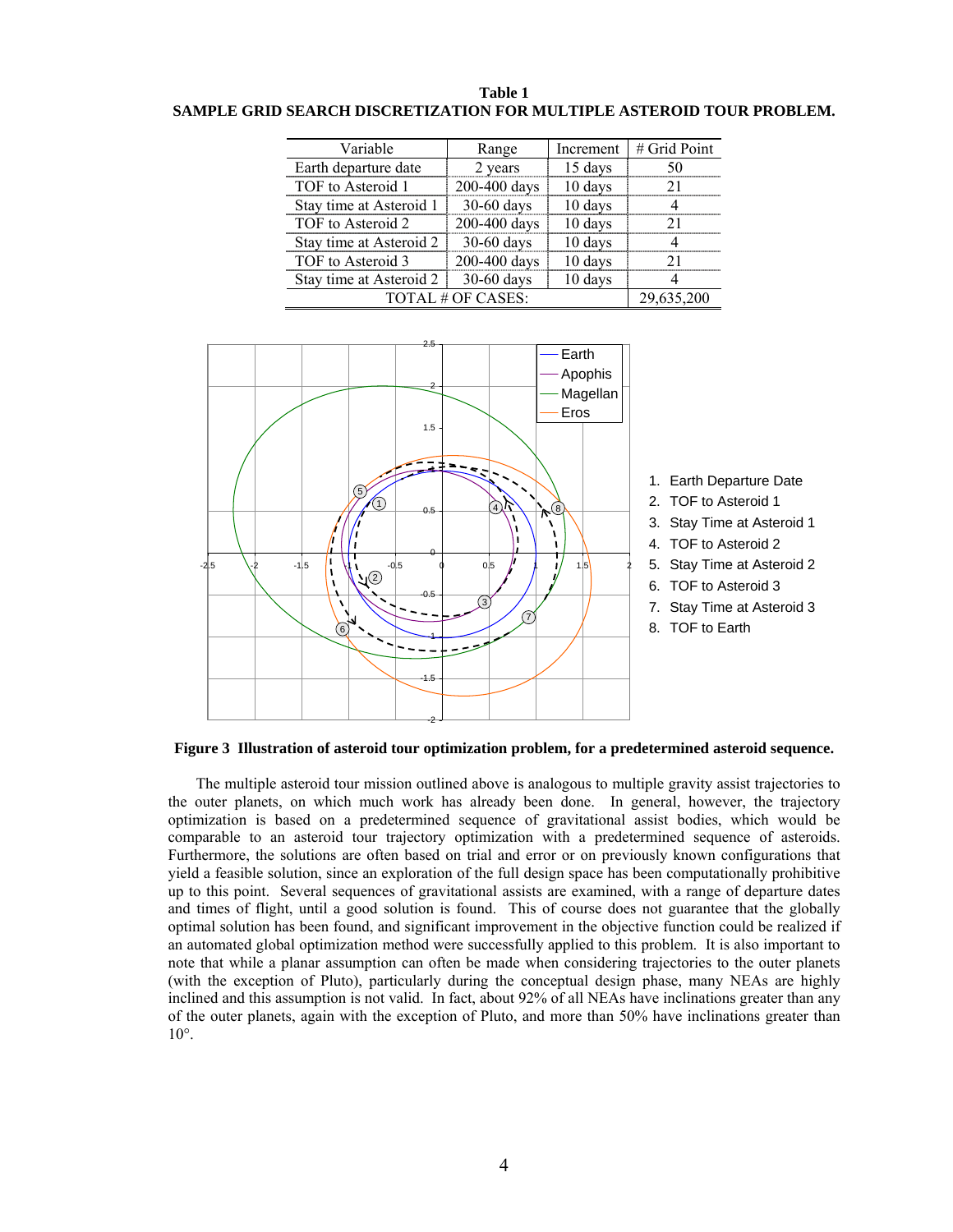| Table 1                                                               |
|-----------------------------------------------------------------------|
| SAMPLE GRID SEARCH DISCRETIZATION FOR MULTIPLE ASTEROID TOUR PROBLEM. |

| Variable                | Range        | Increment | # Grid Point |
|-------------------------|--------------|-----------|--------------|
| Earth departure date    | 2 years      | 15 days   |              |
| TOF to Asteroid 1       | 200-400 days | 10 days   |              |
| Stay time at Asteroid 1 | 30-60 days   | 10 days   |              |
| TOF to Asteroid 2       | 200-400 days | 10 days   |              |
| Stay time at Asteroid 2 | 30-60 days   | 10 days   |              |
| TOF to Asteroid 3       | 200-400 days | 10 days   |              |
| Stay time at Asteroid 2 | 30-60 days   | 10 days   |              |
| TOTAL # OF CASES:       |              |           | 29,635,200   |



## **Figure 3 Illustration of asteroid tour optimization problem, for a predetermined asteroid sequence.**

 The multiple asteroid tour mission outlined above is analogous to multiple gravity assist trajectories to the outer planets, on which much work has already been done. In general, however, the trajectory optimization is based on a predetermined sequence of gravitational assist bodies, which would be comparable to an asteroid tour trajectory optimization with a predetermined sequence of asteroids. Furthermore, the solutions are often based on trial and error or on previously known configurations that yield a feasible solution, since an exploration of the full design space has been computationally prohibitive up to this point. Several sequences of gravitational assists are examined, with a range of departure dates and times of flight, until a good solution is found. This of course does not guarantee that the globally optimal solution has been found, and significant improvement in the objective function could be realized if an automated global optimization method were successfully applied to this problem. It is also important to note that while a planar assumption can often be made when considering trajectories to the outer planets (with the exception of Pluto), particularly during the conceptual design phase, many NEAs are highly inclined and this assumption is not valid. In fact, about 92% of all NEAs have inclinations greater than any of the outer planets, again with the exception of Pluto, and more than 50% have inclinations greater than 10°.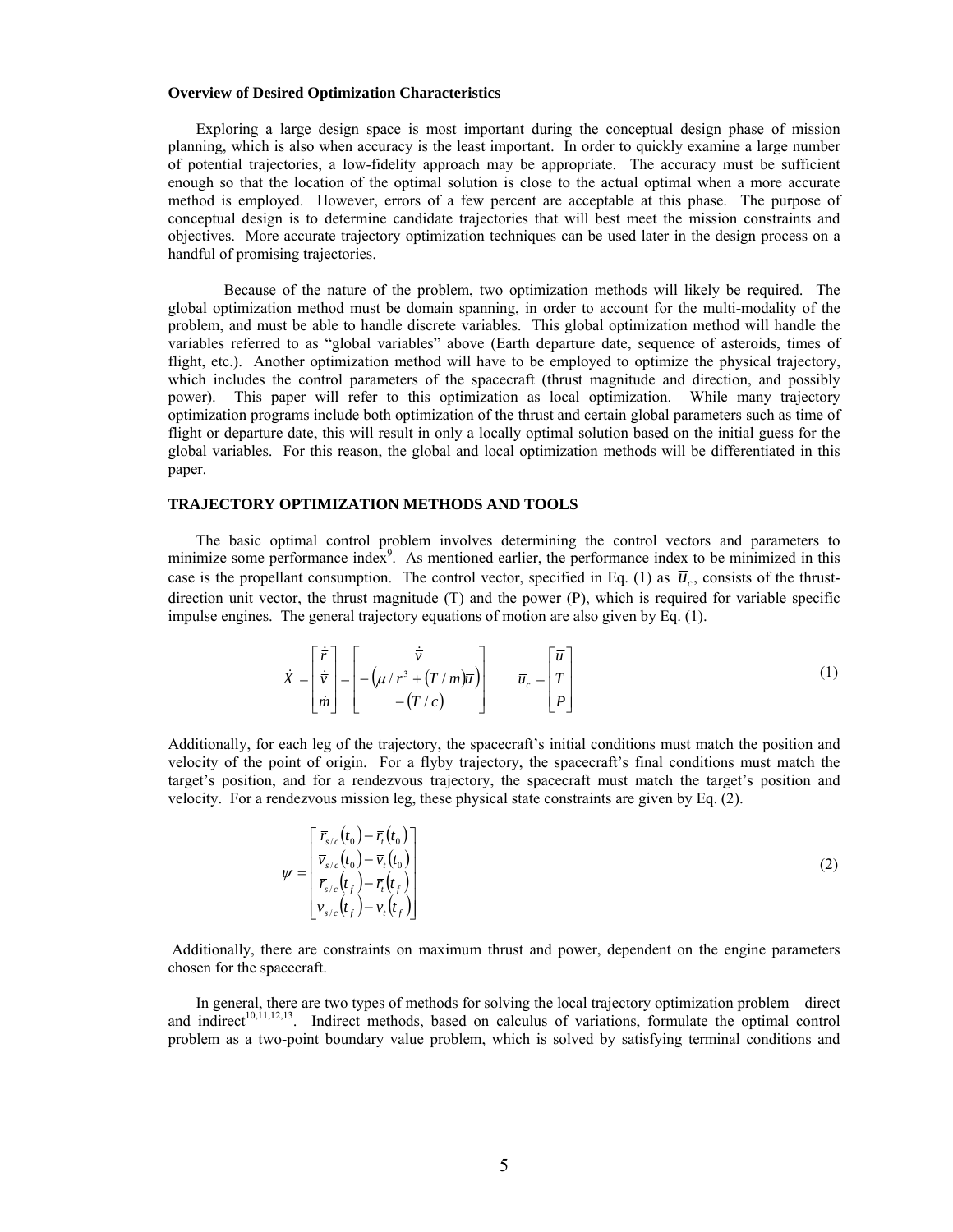## **Overview of Desired Optimization Characteristics**

 Exploring a large design space is most important during the conceptual design phase of mission planning, which is also when accuracy is the least important. In order to quickly examine a large number of potential trajectories, a low-fidelity approach may be appropriate. The accuracy must be sufficient enough so that the location of the optimal solution is close to the actual optimal when a more accurate method is employed. However, errors of a few percent are acceptable at this phase. The purpose of conceptual design is to determine candidate trajectories that will best meet the mission constraints and objectives. More accurate trajectory optimization techniques can be used later in the design process on a handful of promising trajectories.

Because of the nature of the problem, two optimization methods will likely be required. The global optimization method must be domain spanning, in order to account for the multi-modality of the problem, and must be able to handle discrete variables. This global optimization method will handle the variables referred to as "global variables" above (Earth departure date, sequence of asteroids, times of flight, etc.). Another optimization method will have to be employed to optimize the physical trajectory, which includes the control parameters of the spacecraft (thrust magnitude and direction, and possibly power). This paper will refer to this optimization as local optimization. While many trajectory optimization programs include both optimization of the thrust and certain global parameters such as time of flight or departure date, this will result in only a locally optimal solution based on the initial guess for the global variables. For this reason, the global and local optimization methods will be differentiated in this paper.

## **TRAJECTORY OPTIMIZATION METHODS AND TOOLS**

 The basic optimal control problem involves determining the control vectors and parameters to minimize some performance index $9$ . As mentioned earlier, the performance index to be minimized in this case is the propellant consumption. The control vector, specified in Eq. (1) as  $\bar{u}_c$ , consists of the thrustdirection unit vector, the thrust magnitude (T) and the power (P), which is required for variable specific impulse engines. The general trajectory equations of motion are also given by Eq. (1).

$$
\dot{X} = \begin{bmatrix} \dot{\vec{r}} \\ \dot{\vec{v}} \\ \dot{m} \end{bmatrix} = \begin{bmatrix} \dot{\vec{v}} \\ -(\mu/r^3 + (T/m)\overline{u}) \\ -(\overline{T}/c) \end{bmatrix} \qquad \overline{u}_c = \begin{bmatrix} \overline{u} \\ T \\ P \end{bmatrix}
$$
\n(1)

Additionally, for each leg of the trajectory, the spacecraft's initial conditions must match the position and velocity of the point of origin. For a flyby trajectory, the spacecraft's final conditions must match the target's position, and for a rendezvous trajectory, the spacecraft must match the target's position and velocity. For a rendezvous mission leg, these physical state constraints are given by Eq. (2).

$$
\psi = \begin{bmatrix} \overline{r}_{s/c}(t_0) - \overline{r}_t(t_0) \\ \overline{v}_{s/c}(t_0) - \overline{v}_t(t_0) \\ \overline{r}_{s/c}(t_f) - \overline{r}_t(t_f) \\ \overline{v}_{s/c}(t_f) - \overline{v}_t(t_f) \end{bmatrix}
$$
(2)

 Additionally, there are constraints on maximum thrust and power, dependent on the engine parameters chosen for the spacecraft.

 In general, there are two types of methods for solving the local trajectory optimization problem – direct and indirect<sup>10,11,12,13</sup>. Indirect methods, based on calculus of variations, formulate the optimal control problem as a two-point boundary value problem, which is solved by satisfying terminal conditions and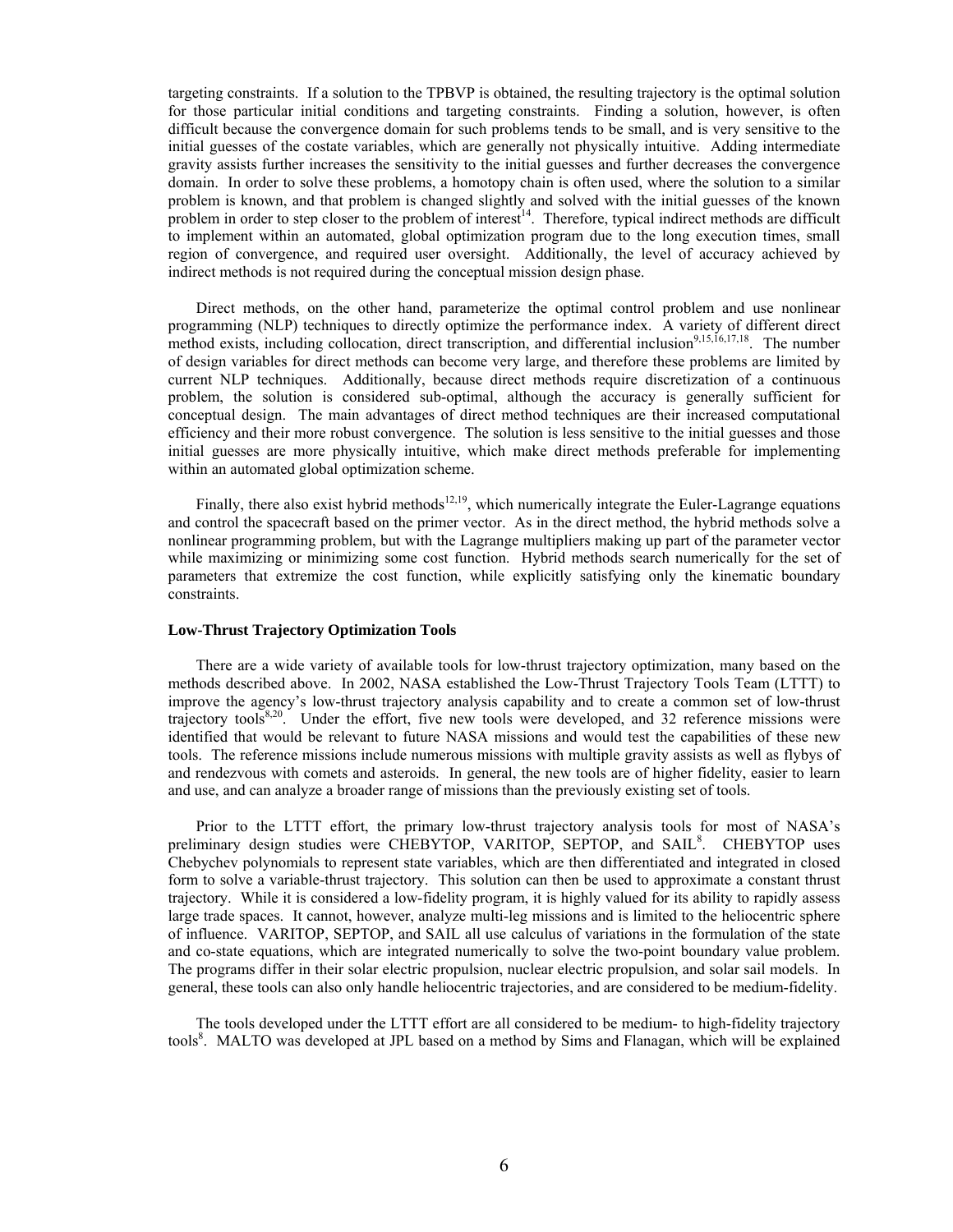targeting constraints. If a solution to the TPBVP is obtained, the resulting trajectory is the optimal solution for those particular initial conditions and targeting constraints. Finding a solution, however, is often difficult because the convergence domain for such problems tends to be small, and is very sensitive to the initial guesses of the costate variables, which are generally not physically intuitive. Adding intermediate gravity assists further increases the sensitivity to the initial guesses and further decreases the convergence domain. In order to solve these problems, a homotopy chain is often used, where the solution to a similar problem is known, and that problem is changed slightly and solved with the initial guesses of the known problem in order to step closer to the problem of interest<sup>14</sup>. Therefore, typical indirect methods are difficult to implement within an automated, global optimization program due to the long execution times, small region of convergence, and required user oversight. Additionally, the level of accuracy achieved by indirect methods is not required during the conceptual mission design phase.

 Direct methods, on the other hand, parameterize the optimal control problem and use nonlinear programming (NLP) techniques to directly optimize the performance index. A variety of different direct method exists, including collocation, direct transcription, and differential inclusion<sup>9,15,16,17,18</sup>. The number of design variables for direct methods can become very large, and therefore these problems are limited by current NLP techniques. Additionally, because direct methods require discretization of a continuous problem, the solution is considered sub-optimal, although the accuracy is generally sufficient for conceptual design. The main advantages of direct method techniques are their increased computational efficiency and their more robust convergence. The solution is less sensitive to the initial guesses and those initial guesses are more physically intuitive, which make direct methods preferable for implementing within an automated global optimization scheme.

Finally, there also exist hybrid methods<sup>12,19</sup>, which numerically integrate the Euler-Lagrange equations and control the spacecraft based on the primer vector. As in the direct method, the hybrid methods solve a nonlinear programming problem, but with the Lagrange multipliers making up part of the parameter vector while maximizing or minimizing some cost function. Hybrid methods search numerically for the set of parameters that extremize the cost function, while explicitly satisfying only the kinematic boundary constraints.

#### **Low-Thrust Trajectory Optimization Tools**

 There are a wide variety of available tools for low-thrust trajectory optimization, many based on the methods described above. In 2002, NASA established the Low-Thrust Trajectory Tools Team (LTTT) to improve the agency's low-thrust trajectory analysis capability and to create a common set of low-thrust trajectory tools<sup>8,20</sup>. Under the effort, five new tools were developed, and 32 reference missions were identified that would be relevant to future NASA missions and would test the capabilities of these new tools. The reference missions include numerous missions with multiple gravity assists as well as flybys of and rendezvous with comets and asteroids. In general, the new tools are of higher fidelity, easier to learn and use, and can analyze a broader range of missions than the previously existing set of tools.

 Prior to the LTTT effort, the primary low-thrust trajectory analysis tools for most of NASA's preliminary design studies were CHEBYTOP, VARITOP, SEPTOP, and SAIL<sup>8</sup>. CHEBYTOP uses Chebychev polynomials to represent state variables, which are then differentiated and integrated in closed form to solve a variable-thrust trajectory. This solution can then be used to approximate a constant thrust trajectory. While it is considered a low-fidelity program, it is highly valued for its ability to rapidly assess large trade spaces. It cannot, however, analyze multi-leg missions and is limited to the heliocentric sphere of influence. VARITOP, SEPTOP, and SAIL all use calculus of variations in the formulation of the state and co-state equations, which are integrated numerically to solve the two-point boundary value problem. The programs differ in their solar electric propulsion, nuclear electric propulsion, and solar sail models. In general, these tools can also only handle heliocentric trajectories, and are considered to be medium-fidelity.

 The tools developed under the LTTT effort are all considered to be medium- to high-fidelity trajectory tools<sup>8</sup>. MALTO was developed at JPL based on a method by Sims and Flanagan, which will be explained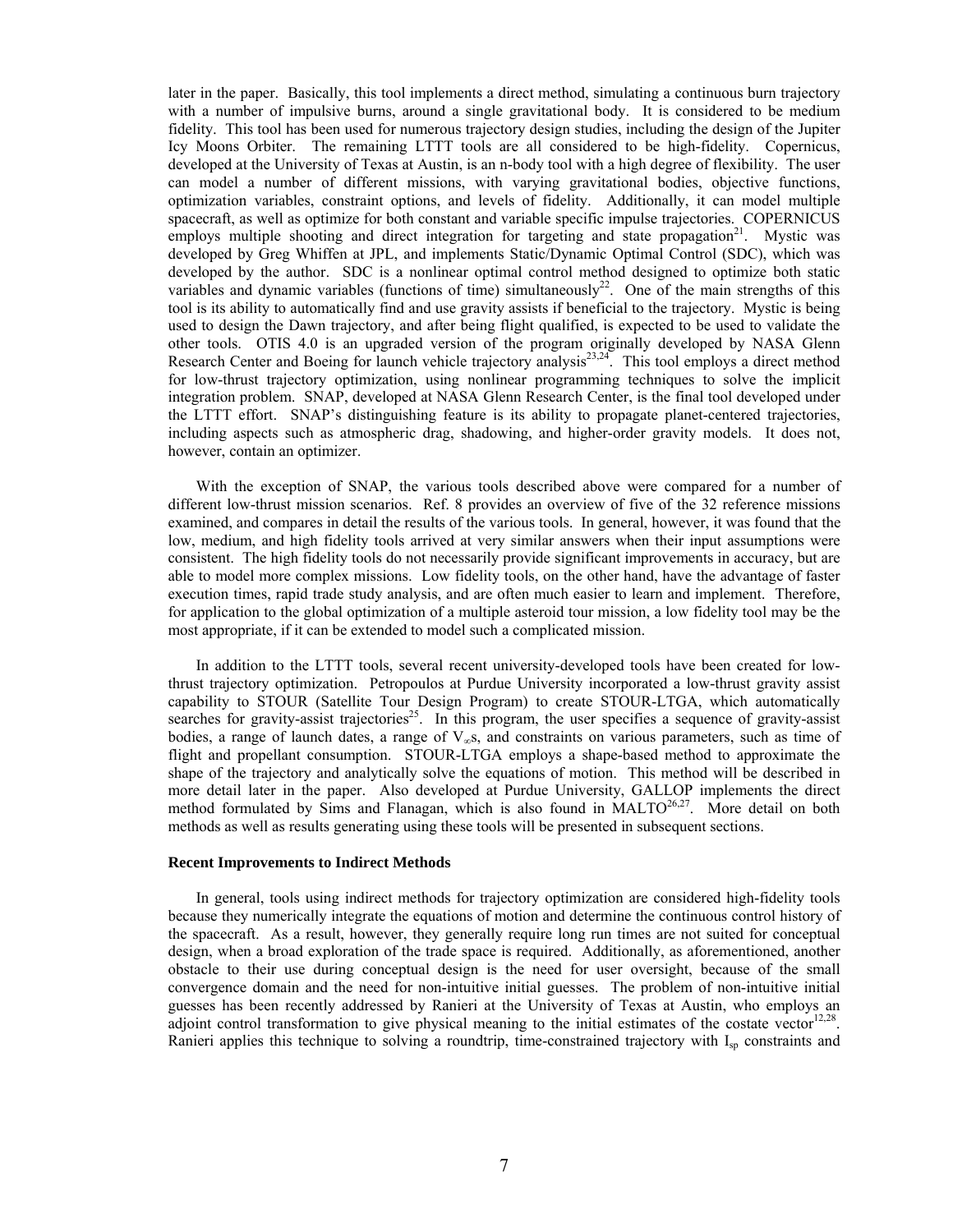later in the paper. Basically, this tool implements a direct method, simulating a continuous burn trajectory with a number of impulsive burns, around a single gravitational body. It is considered to be medium fidelity. This tool has been used for numerous trajectory design studies, including the design of the Jupiter Icy Moons Orbiter. The remaining LTTT tools are all considered to be high-fidelity. Copernicus, developed at the University of Texas at Austin, is an n-body tool with a high degree of flexibility. The user can model a number of different missions, with varying gravitational bodies, objective functions, optimization variables, constraint options, and levels of fidelity. Additionally, it can model multiple spacecraft, as well as optimize for both constant and variable specific impulse trajectories. COPERNICUS employs multiple shooting and direct integration for targeting and state propagation<sup>21</sup>. Mystic was developed by Greg Whiffen at JPL, and implements Static/Dynamic Optimal Control (SDC), which was developed by the author. SDC is a nonlinear optimal control method designed to optimize both static variables and dynamic variables (functions of time) simultaneously<sup>22</sup>. One of the main strengths of this tool is its ability to automatically find and use gravity assists if beneficial to the trajectory. Mystic is being used to design the Dawn trajectory, and after being flight qualified, is expected to be used to validate the other tools. OTIS 4.0 is an upgraded version of the program originally developed by NASA Glenn Research Center and Boeing for launch vehicle trajectory analysis<sup>23,24</sup>. This tool employs a direct method for low-thrust trajectory optimization, using nonlinear programming techniques to solve the implicit integration problem. SNAP, developed at NASA Glenn Research Center, is the final tool developed under the LTTT effort. SNAP's distinguishing feature is its ability to propagate planet-centered trajectories, including aspects such as atmospheric drag, shadowing, and higher-order gravity models. It does not, however, contain an optimizer.

 With the exception of SNAP, the various tools described above were compared for a number of different low-thrust mission scenarios. Ref. 8 provides an overview of five of the 32 reference missions examined, and compares in detail the results of the various tools. In general, however, it was found that the low, medium, and high fidelity tools arrived at very similar answers when their input assumptions were consistent. The high fidelity tools do not necessarily provide significant improvements in accuracy, but are able to model more complex missions. Low fidelity tools, on the other hand, have the advantage of faster execution times, rapid trade study analysis, and are often much easier to learn and implement. Therefore, for application to the global optimization of a multiple asteroid tour mission, a low fidelity tool may be the most appropriate, if it can be extended to model such a complicated mission.

 In addition to the LTTT tools, several recent university-developed tools have been created for lowthrust trajectory optimization. Petropoulos at Purdue University incorporated a low-thrust gravity assist capability to STOUR (Satellite Tour Design Program) to create STOUR-LTGA, which automatically searches for gravity-assist trajectories<sup>25</sup>. In this program, the user specifies a sequence of gravity-assist bodies, a range of launch dates, a range of  $V_{\infty}$ s, and constraints on various parameters, such as time of flight and propellant consumption. STOUR-LTGA employs a shape-based method to approximate the shape of the trajectory and analytically solve the equations of motion. This method will be described in more detail later in the paper. Also developed at Purdue University, GALLOP implements the direct method formulated by Sims and Flanagan, which is also found in  $MALTO^{26,27}$ . More detail on both methods as well as results generating using these tools will be presented in subsequent sections.

### **Recent Improvements to Indirect Methods**

 In general, tools using indirect methods for trajectory optimization are considered high-fidelity tools because they numerically integrate the equations of motion and determine the continuous control history of the spacecraft. As a result, however, they generally require long run times are not suited for conceptual design, when a broad exploration of the trade space is required. Additionally, as aforementioned, another obstacle to their use during conceptual design is the need for user oversight, because of the small convergence domain and the need for non-intuitive initial guesses. The problem of non-intuitive initial guesses has been recently addressed by Ranieri at the University of Texas at Austin, who employs an adjoint control transformation to give physical meaning to the initial estimates of the costate vector<sup>12,28</sup>. Ranieri applies this technique to solving a roundtrip, time-constrained trajectory with I<sub>sp</sub> constraints and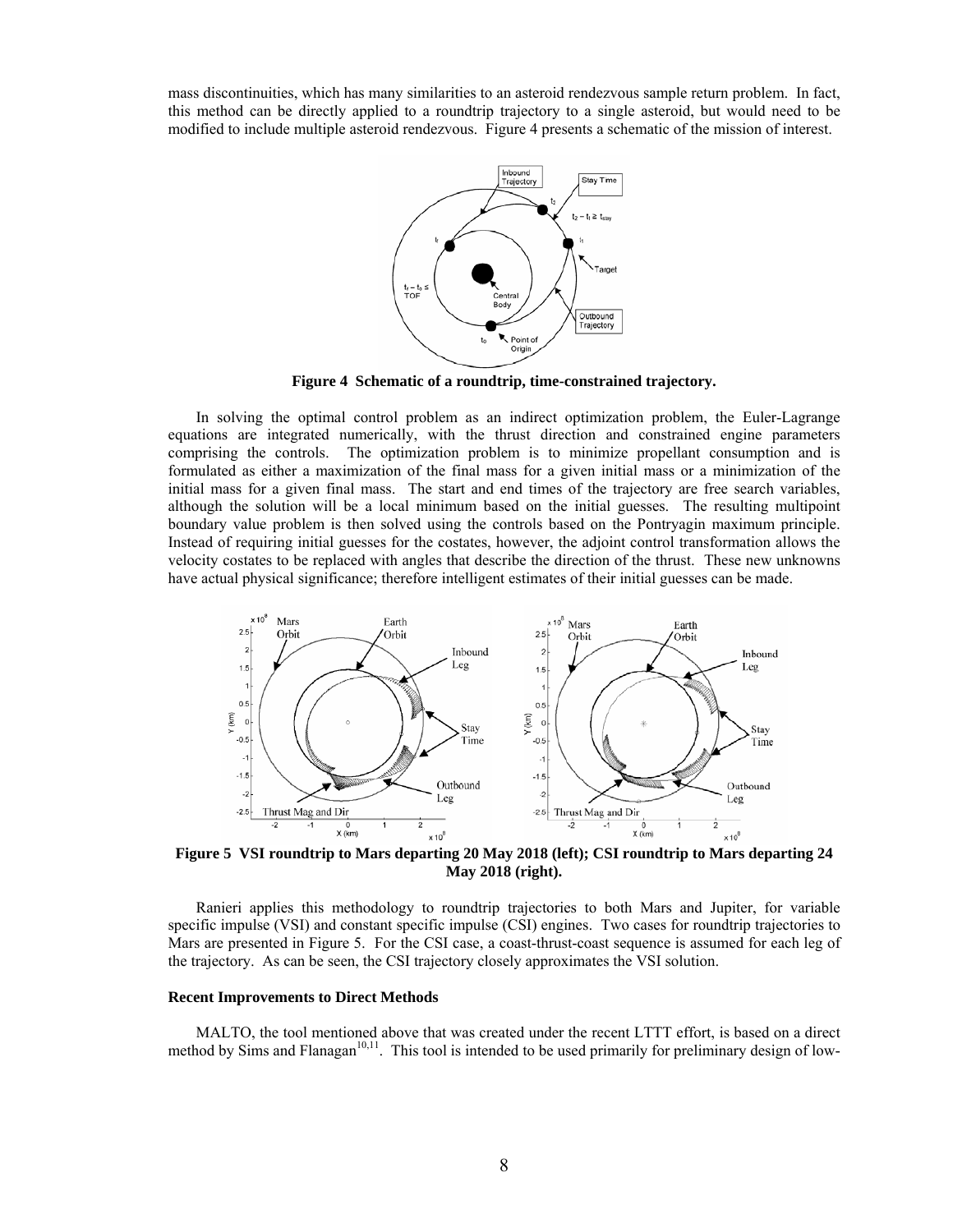mass discontinuities, which has many similarities to an asteroid rendezvous sample return problem. In fact, this method can be directly applied to a roundtrip trajectory to a single asteroid, but would need to be modified to include multiple asteroid rendezvous. Figure 4 presents a schematic of the mission of interest.



**Figure 4 Schematic of a roundtrip, time-constrained trajectory.** 

 In solving the optimal control problem as an indirect optimization problem, the Euler-Lagrange equations are integrated numerically, with the thrust direction and constrained engine parameters comprising the controls. The optimization problem is to minimize propellant consumption and is formulated as either a maximization of the final mass for a given initial mass or a minimization of the initial mass for a given final mass. The start and end times of the trajectory are free search variables, although the solution will be a local minimum based on the initial guesses. The resulting multipoint boundary value problem is then solved using the controls based on the Pontryagin maximum principle. Instead of requiring initial guesses for the costates, however, the adjoint control transformation allows the velocity costates to be replaced with angles that describe the direction of the thrust. These new unknowns have actual physical significance; therefore intelligent estimates of their initial guesses can be made.



**May 2018 (right).** 

 Ranieri applies this methodology to roundtrip trajectories to both Mars and Jupiter, for variable specific impulse (VSI) and constant specific impulse (CSI) engines. Two cases for roundtrip trajectories to Mars are presented in Figure 5. For the CSI case, a coast-thrust-coast sequence is assumed for each leg of the trajectory. As can be seen, the CSI trajectory closely approximates the VSI solution.

#### **Recent Improvements to Direct Methods**

 MALTO, the tool mentioned above that was created under the recent LTTT effort, is based on a direct method by Sims and Flanagan $10,11$ . This tool is intended to be used primarily for preliminary design of low-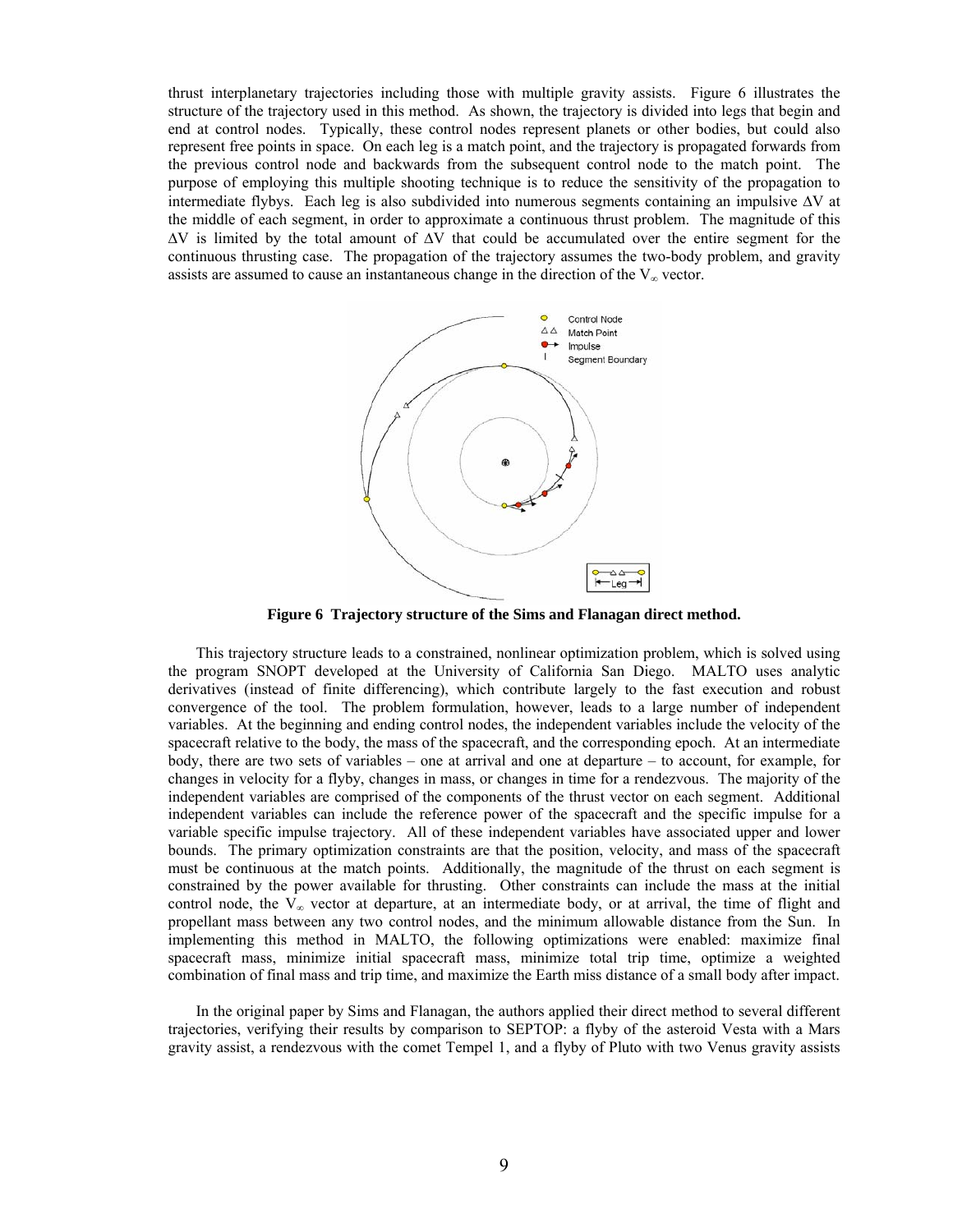thrust interplanetary trajectories including those with multiple gravity assists. Figure 6 illustrates the structure of the trajectory used in this method. As shown, the trajectory is divided into legs that begin and end at control nodes. Typically, these control nodes represent planets or other bodies, but could also represent free points in space. On each leg is a match point, and the trajectory is propagated forwards from the previous control node and backwards from the subsequent control node to the match point. The purpose of employing this multiple shooting technique is to reduce the sensitivity of the propagation to intermediate flybys. Each leg is also subdivided into numerous segments containing an impulsive ∆V at the middle of each segment, in order to approximate a continuous thrust problem. The magnitude of this ∆V is limited by the total amount of ∆V that could be accumulated over the entire segment for the continuous thrusting case. The propagation of the trajectory assumes the two-body problem, and gravity assists are assumed to cause an instantaneous change in the direction of the  $V_{\infty}$  vector.



**Figure 6 Trajectory structure of the Sims and Flanagan direct method.** 

 This trajectory structure leads to a constrained, nonlinear optimization problem, which is solved using the program SNOPT developed at the University of California San Diego. MALTO uses analytic derivatives (instead of finite differencing), which contribute largely to the fast execution and robust convergence of the tool. The problem formulation, however, leads to a large number of independent variables. At the beginning and ending control nodes, the independent variables include the velocity of the spacecraft relative to the body, the mass of the spacecraft, and the corresponding epoch. At an intermediate body, there are two sets of variables – one at arrival and one at departure – to account, for example, for changes in velocity for a flyby, changes in mass, or changes in time for a rendezvous. The majority of the independent variables are comprised of the components of the thrust vector on each segment. Additional independent variables can include the reference power of the spacecraft and the specific impulse for a variable specific impulse trajectory. All of these independent variables have associated upper and lower bounds. The primary optimization constraints are that the position, velocity, and mass of the spacecraft must be continuous at the match points. Additionally, the magnitude of the thrust on each segment is constrained by the power available for thrusting. Other constraints can include the mass at the initial control node, the  $V_{\infty}$  vector at departure, at an intermediate body, or at arrival, the time of flight and propellant mass between any two control nodes, and the minimum allowable distance from the Sun. In implementing this method in MALTO, the following optimizations were enabled: maximize final spacecraft mass, minimize initial spacecraft mass, minimize total trip time, optimize a weighted combination of final mass and trip time, and maximize the Earth miss distance of a small body after impact.

 In the original paper by Sims and Flanagan, the authors applied their direct method to several different trajectories, verifying their results by comparison to SEPTOP: a flyby of the asteroid Vesta with a Mars gravity assist, a rendezvous with the comet Tempel 1, and a flyby of Pluto with two Venus gravity assists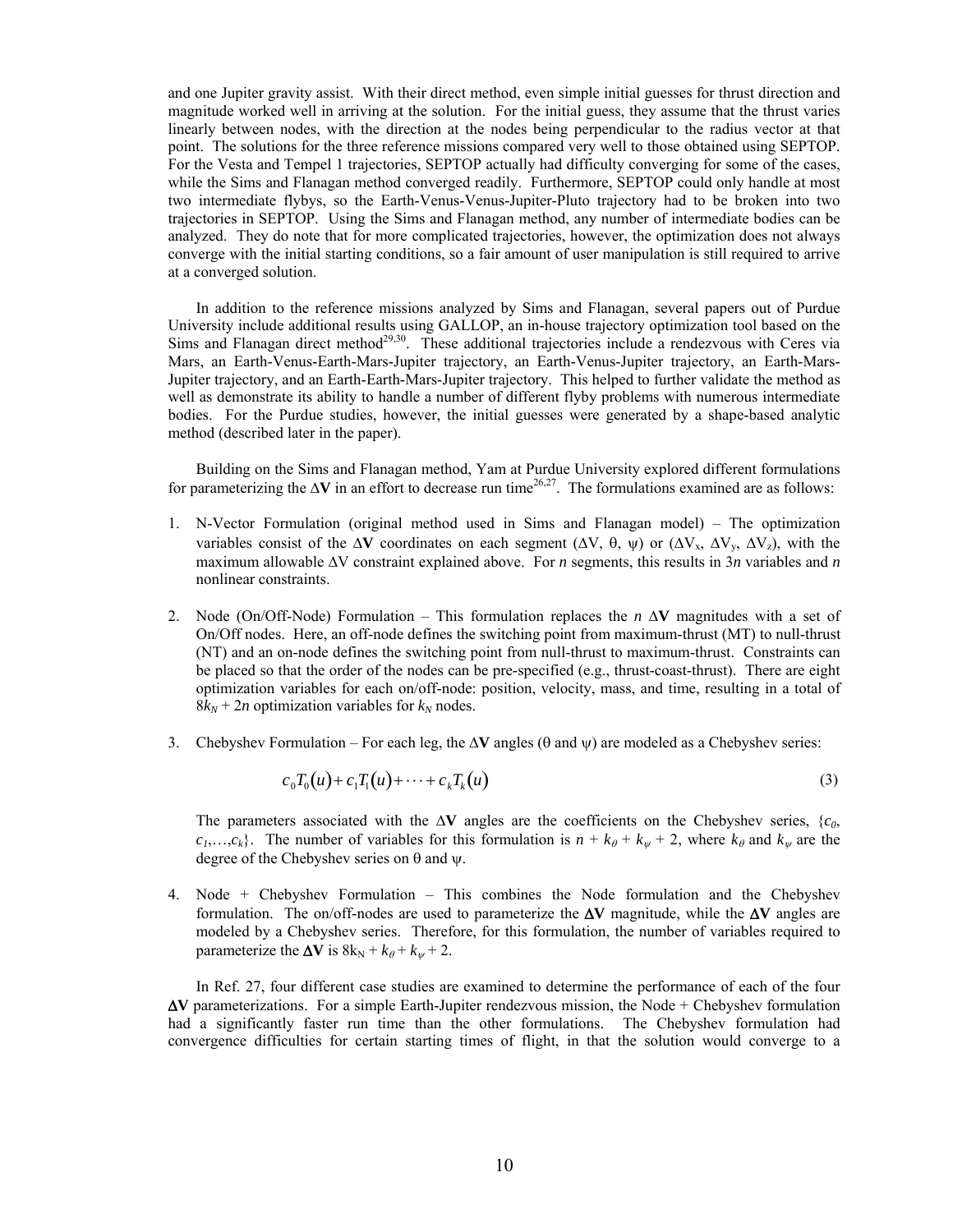and one Jupiter gravity assist. With their direct method, even simple initial guesses for thrust direction and magnitude worked well in arriving at the solution. For the initial guess, they assume that the thrust varies linearly between nodes, with the direction at the nodes being perpendicular to the radius vector at that point. The solutions for the three reference missions compared very well to those obtained using SEPTOP. For the Vesta and Tempel 1 trajectories, SEPTOP actually had difficulty converging for some of the cases, while the Sims and Flanagan method converged readily. Furthermore, SEPTOP could only handle at most two intermediate flybys, so the Earth-Venus-Venus-Jupiter-Pluto trajectory had to be broken into two trajectories in SEPTOP. Using the Sims and Flanagan method, any number of intermediate bodies can be analyzed. They do note that for more complicated trajectories, however, the optimization does not always converge with the initial starting conditions, so a fair amount of user manipulation is still required to arrive at a converged solution.

 In addition to the reference missions analyzed by Sims and Flanagan, several papers out of Purdue University include additional results using GALLOP, an in-house trajectory optimization tool based on the Sims and Flanagan direct method<sup>29,30</sup>. These additional trajectories include a rendezvous with Ceres via Mars, an Earth-Venus-Earth-Mars-Jupiter trajectory, an Earth-Venus-Jupiter trajectory, an Earth-Mars-Jupiter trajectory, and an Earth-Earth-Mars-Jupiter trajectory. This helped to further validate the method as well as demonstrate its ability to handle a number of different flyby problems with numerous intermediate bodies. For the Purdue studies, however, the initial guesses were generated by a shape-based analytic method (described later in the paper).

 Building on the Sims and Flanagan method, Yam at Purdue University explored different formulations for parameterizing the ∆**V** in an effort to decrease run time<sup>26,27</sup>. The formulations examined are as follows:

- 1. N-Vector Formulation (original method used in Sims and Flanagan model) The optimization variables consist of the  $\Delta V$  coordinates on each segment ( $\Delta V$ ,  $\theta$ ,  $\psi$ ) or ( $\Delta V_x$ ,  $\Delta V_y$ ,  $\Delta V_z$ ), with the maximum allowable ∆V constraint explained above. For *n* segments, this results in 3*n* variables and *n* nonlinear constraints.
- 2. Node (On/Off-Node) Formulation This formulation replaces the *n* ∆**V** magnitudes with a set of On/Off nodes. Here, an off-node defines the switching point from maximum-thrust (MT) to null-thrust (NT) and an on-node defines the switching point from null-thrust to maximum-thrust. Constraints can be placed so that the order of the nodes can be pre-specified (e.g., thrust-coast-thrust). There are eight optimization variables for each on/off-node: position, velocity, mass, and time, resulting in a total of  $8k_N + 2n$  optimization variables for  $k_N$  nodes.
- 3. Chebyshev Formulation For each leg, the ∆**V** angles (θ and ψ) are modeled as a Chebyshev series:

$$
c_0 T_0(u) + c_1 T_1(u) + \dots + c_k T_k(u) \tag{3}
$$

The parameters associated with the ∆**V** angles are the coefficients on the Chebyshev series, {*c0*,  $c_1, \ldots, c_k$ . The number of variables for this formulation is  $n + k_{\theta} + k_{\psi} + 2$ , where  $k_{\theta}$  and  $k_{\psi}$  are the degree of the Chebyshev series on θ and ψ.

4. Node + Chebyshev Formulation – This combines the Node formulation and the Chebyshev formulation. The on/off-nodes are used to parameterize the ∆**V** magnitude, while the ∆**V** angles are modeled by a Chebyshev series. Therefore, for this formulation, the number of variables required to parameterize the  $\Delta V$  is  $8k_N + k_\theta + k_w + 2$ .

In Ref. 27, four different case studies are examined to determine the performance of each of the four ∆**V** parameterizations. For a simple Earth-Jupiter rendezvous mission, the Node + Chebyshev formulation had a significantly faster run time than the other formulations. The Chebyshev formulation had convergence difficulties for certain starting times of flight, in that the solution would converge to a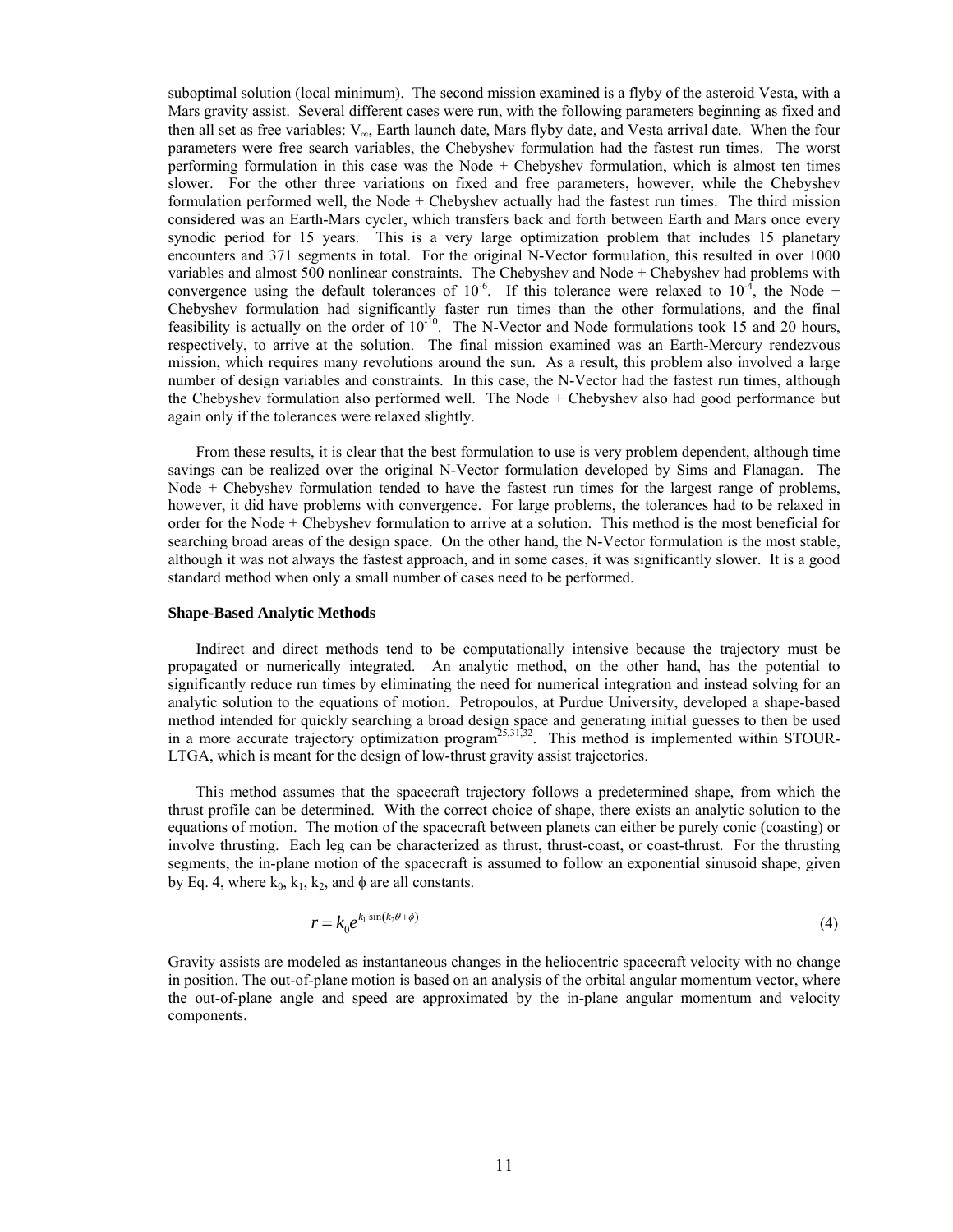suboptimal solution (local minimum). The second mission examined is a flyby of the asteroid Vesta, with a Mars gravity assist. Several different cases were run, with the following parameters beginning as fixed and then all set as free variables:  $V_{\infty}$ , Earth launch date, Mars flyby date, and Vesta arrival date. When the four parameters were free search variables, the Chebyshev formulation had the fastest run times. The worst performing formulation in this case was the Node + Chebyshev formulation, which is almost ten times slower. For the other three variations on fixed and free parameters, however, while the Chebyshev formulation performed well, the Node + Chebyshev actually had the fastest run times. The third mission considered was an Earth-Mars cycler, which transfers back and forth between Earth and Mars once every synodic period for 15 years. This is a very large optimization problem that includes 15 planetary encounters and 371 segments in total. For the original N-Vector formulation, this resulted in over 1000 variables and almost 500 nonlinear constraints. The Chebyshev and Node + Chebyshev had problems with convergence using the default tolerances of 10<sup>-6</sup>. If this tolerance were relaxed to 10<sup>-4</sup>, the Node + Chebyshev formulation had significantly faster run times than the other formulations, and the final feasibility is actually on the order of  $10^{-10}$ . The N-Vector and Node formulations took 15 and 20 hours, respectively, to arrive at the solution. The final mission examined was an Earth-Mercury rendezvous mission, which requires many revolutions around the sun. As a result, this problem also involved a large number of design variables and constraints. In this case, the N-Vector had the fastest run times, although the Chebyshev formulation also performed well. The Node + Chebyshev also had good performance but again only if the tolerances were relaxed slightly.

From these results, it is clear that the best formulation to use is very problem dependent, although time savings can be realized over the original N-Vector formulation developed by Sims and Flanagan. The Node + Chebyshev formulation tended to have the fastest run times for the largest range of problems, however, it did have problems with convergence. For large problems, the tolerances had to be relaxed in order for the Node + Chebyshev formulation to arrive at a solution. This method is the most beneficial for searching broad areas of the design space. On the other hand, the N-Vector formulation is the most stable, although it was not always the fastest approach, and in some cases, it was significantly slower. It is a good standard method when only a small number of cases need to be performed.

#### **Shape-Based Analytic Methods**

 Indirect and direct methods tend to be computationally intensive because the trajectory must be propagated or numerically integrated. An analytic method, on the other hand, has the potential to significantly reduce run times by eliminating the need for numerical integration and instead solving for an analytic solution to the equations of motion. Petropoulos, at Purdue University, developed a shape-based method intended for quickly searching a broad design space and generating initial guesses to then be used in a more accurate trajectory optimization program<sup>25,31,32</sup>. This method is implemented within STOUR-LTGA, which is meant for the design of low-thrust gravity assist trajectories.

 This method assumes that the spacecraft trajectory follows a predetermined shape, from which the thrust profile can be determined. With the correct choice of shape, there exists an analytic solution to the equations of motion. The motion of the spacecraft between planets can either be purely conic (coasting) or involve thrusting. Each leg can be characterized as thrust, thrust-coast, or coast-thrust. For the thrusting segments, the in-plane motion of the spacecraft is assumed to follow an exponential sinusoid shape, given by Eq. 4, where  $k_0$ ,  $k_1$ ,  $k_2$ , and  $\phi$  are all constants.

$$
r = k_0 e^{k_1 \sin(k_2 \theta + \phi)} \tag{4}
$$

Gravity assists are modeled as instantaneous changes in the heliocentric spacecraft velocity with no change in position. The out-of-plane motion is based on an analysis of the orbital angular momentum vector, where the out-of-plane angle and speed are approximated by the in-plane angular momentum and velocity components.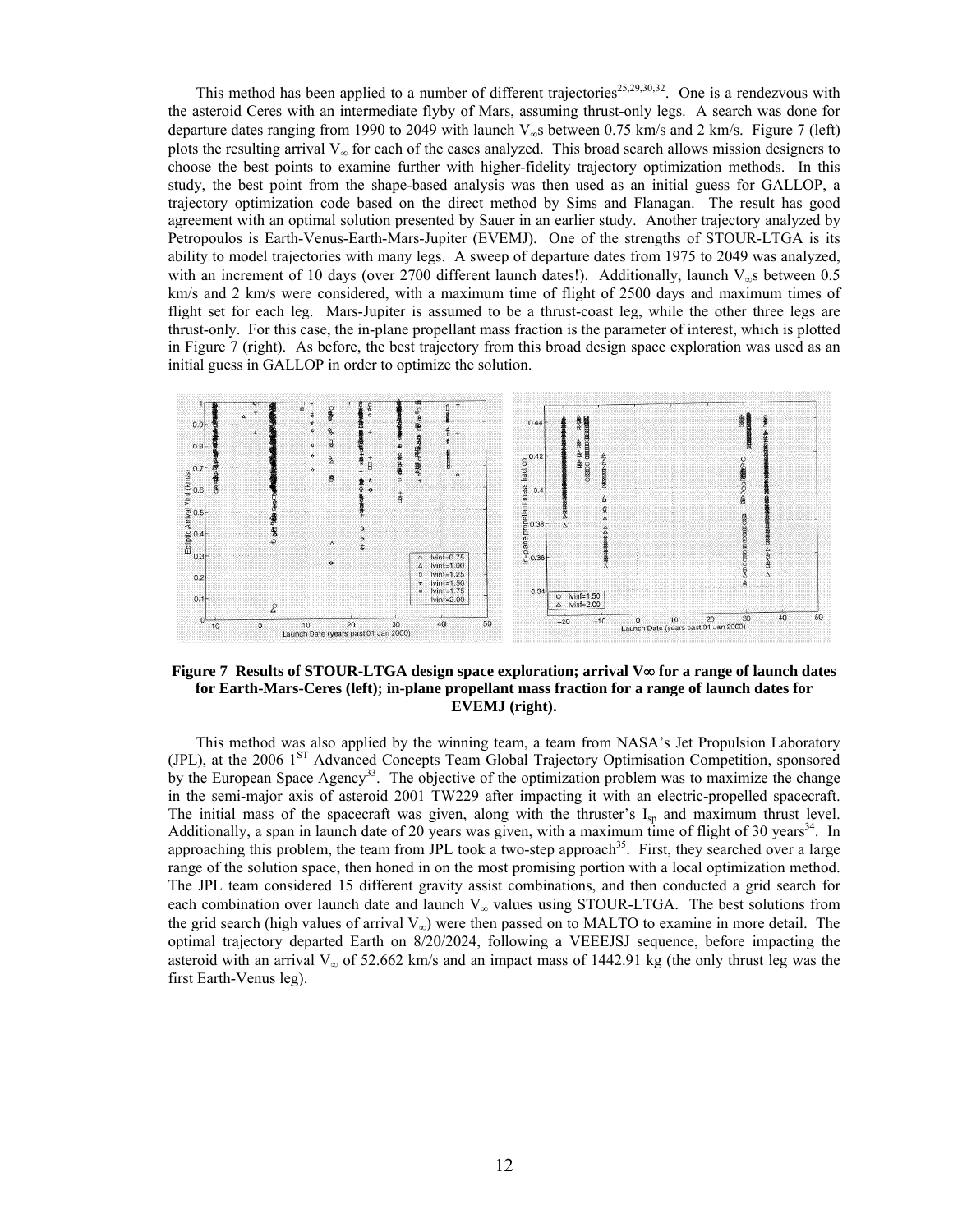This method has been applied to a number of different trajectories<sup>25,29,30,32</sup>. One is a rendezvous with the asteroid Ceres with an intermediate flyby of Mars, assuming thrust-only legs. A search was done for departure dates ranging from 1990 to 2049 with launch  $V_{\infty}$ s between 0.75 km/s and 2 km/s. Figure 7 (left) plots the resulting arrival  $V_{\infty}$  for each of the cases analyzed. This broad search allows mission designers to choose the best points to examine further with higher-fidelity trajectory optimization methods. In this study, the best point from the shape-based analysis was then used as an initial guess for GALLOP, a trajectory optimization code based on the direct method by Sims and Flanagan. The result has good agreement with an optimal solution presented by Sauer in an earlier study. Another trajectory analyzed by Petropoulos is Earth-Venus-Earth-Mars-Jupiter (EVEMJ). One of the strengths of STOUR-LTGA is its ability to model trajectories with many legs. A sweep of departure dates from 1975 to 2049 was analyzed, with an increment of 10 days (over 2700 different launch dates!). Additionally, launch  $V_{\infty}$ s between 0.5 km/s and 2 km/s were considered, with a maximum time of flight of 2500 days and maximum times of flight set for each leg. Mars-Jupiter is assumed to be a thrust-coast leg, while the other three legs are thrust-only. For this case, the in-plane propellant mass fraction is the parameter of interest, which is plotted in Figure 7 (right). As before, the best trajectory from this broad design space exploration was used as an initial guess in GALLOP in order to optimize the solution.



**Figure 7 Results of STOUR-LTGA design space exploration; arrival V**∞ **for a range of launch dates for Earth-Mars-Ceres (left); in-plane propellant mass fraction for a range of launch dates for EVEMJ (right).** 

 This method was also applied by the winning team, a team from NASA's Jet Propulsion Laboratory (JPL), at the 2006 1<sup>ST</sup> Advanced Concepts Team Global Trajectory Optimisation Competition, sponsored by the European Space Agency<sup>33</sup>. The objective of the optimization problem was to maximize the change in the semi-major axis of asteroid 2001 TW229 after impacting it with an electric-propelled spacecraft. The initial mass of the spacecraft was given, along with the thruster's  $I_{sp}$  and maximum thrust level. Additionally, a span in launch date of 20 years was given, with a maximum time of flight of 30 years<sup>34</sup>. In approaching this problem, the team from JPL took a two-step approach<sup>35</sup>. First, they searched over a large range of the solution space, then honed in on the most promising portion with a local optimization method. The JPL team considered 15 different gravity assist combinations, and then conducted a grid search for each combination over launch date and launch  $V_{\infty}$  values using STOUR-LTGA. The best solutions from the grid search (high values of arrival  $V_{\infty}$ ) were then passed on to MALTO to examine in more detail. The optimal trajectory departed Earth on 8/20/2024, following a VEEEJSJ sequence, before impacting the asteroid with an arrival  $V_{\infty}$  of 52.662 km/s and an impact mass of 1442.91 kg (the only thrust leg was the first Earth-Venus leg).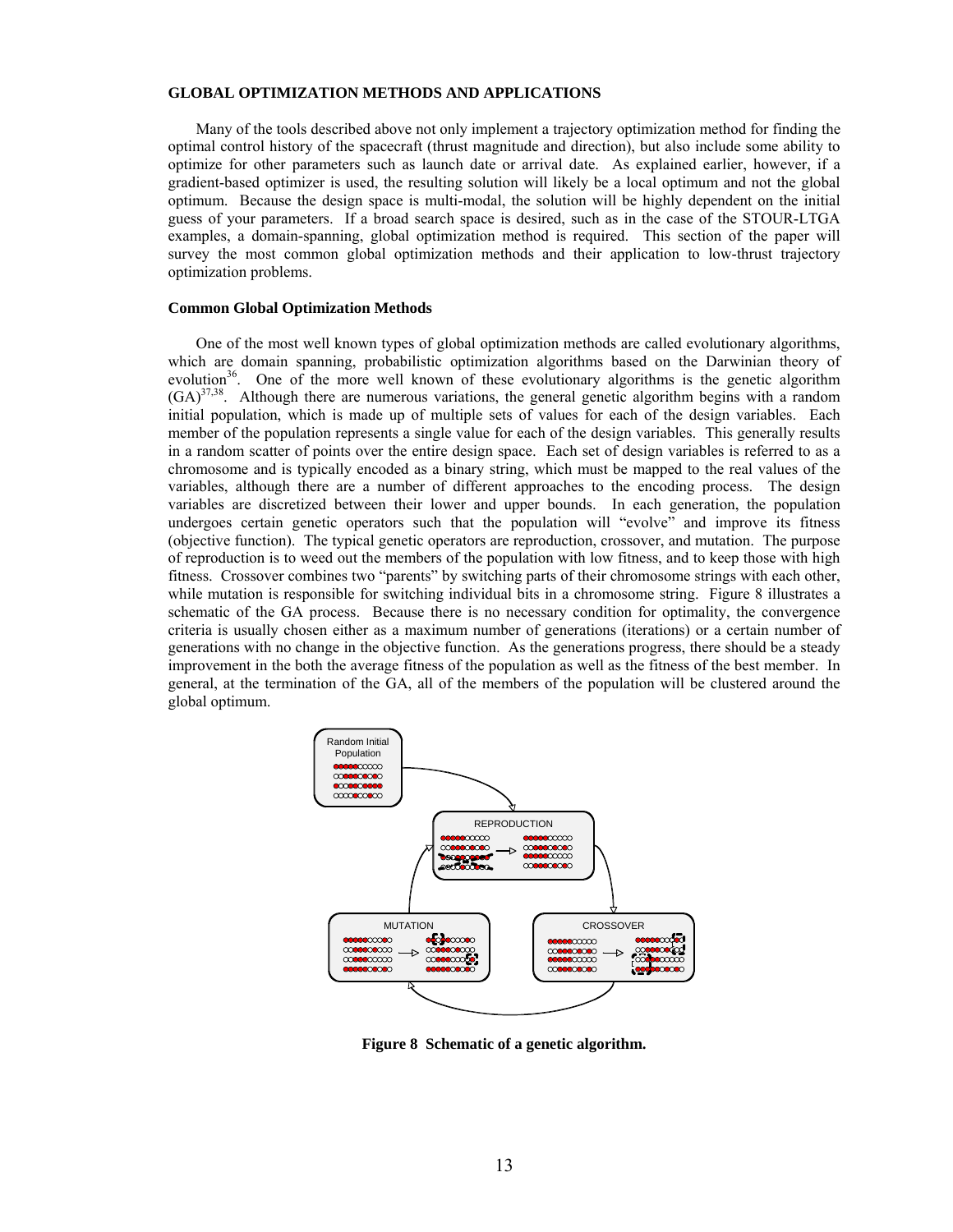## **GLOBAL OPTIMIZATION METHODS AND APPLICATIONS**

 Many of the tools described above not only implement a trajectory optimization method for finding the optimal control history of the spacecraft (thrust magnitude and direction), but also include some ability to optimize for other parameters such as launch date or arrival date. As explained earlier, however, if a gradient-based optimizer is used, the resulting solution will likely be a local optimum and not the global optimum. Because the design space is multi-modal, the solution will be highly dependent on the initial guess of your parameters. If a broad search space is desired, such as in the case of the STOUR-LTGA examples, a domain-spanning, global optimization method is required. This section of the paper will survey the most common global optimization methods and their application to low-thrust trajectory optimization problems.

#### **Common Global Optimization Methods**

 One of the most well known types of global optimization methods are called evolutionary algorithms, which are domain spanning, probabilistic optimization algorithms based on the Darwinian theory of evolution<sup>36</sup>. One of the more well known of these evolutionary algorithms is the genetic algorithm  $(GA)^{37,38}$ . Although there are numerous variations, the general genetic algorithm begins with a random initial population, which is made up of multiple sets of values for each of the design variables. Each member of the population represents a single value for each of the design variables. This generally results in a random scatter of points over the entire design space. Each set of design variables is referred to as a chromosome and is typically encoded as a binary string, which must be mapped to the real values of the variables, although there are a number of different approaches to the encoding process. The design variables are discretized between their lower and upper bounds. In each generation, the population undergoes certain genetic operators such that the population will "evolve" and improve its fitness (objective function). The typical genetic operators are reproduction, crossover, and mutation. The purpose of reproduction is to weed out the members of the population with low fitness, and to keep those with high fitness. Crossover combines two "parents" by switching parts of their chromosome strings with each other, while mutation is responsible for switching individual bits in a chromosome string. Figure 8 illustrates a schematic of the GA process. Because there is no necessary condition for optimality, the convergence criteria is usually chosen either as a maximum number of generations (iterations) or a certain number of generations with no change in the objective function. As the generations progress, there should be a steady improvement in the both the average fitness of the population as well as the fitness of the best member. In general, at the termination of the GA, all of the members of the population will be clustered around the global optimum.



**Figure 8 Schematic of a genetic algorithm.**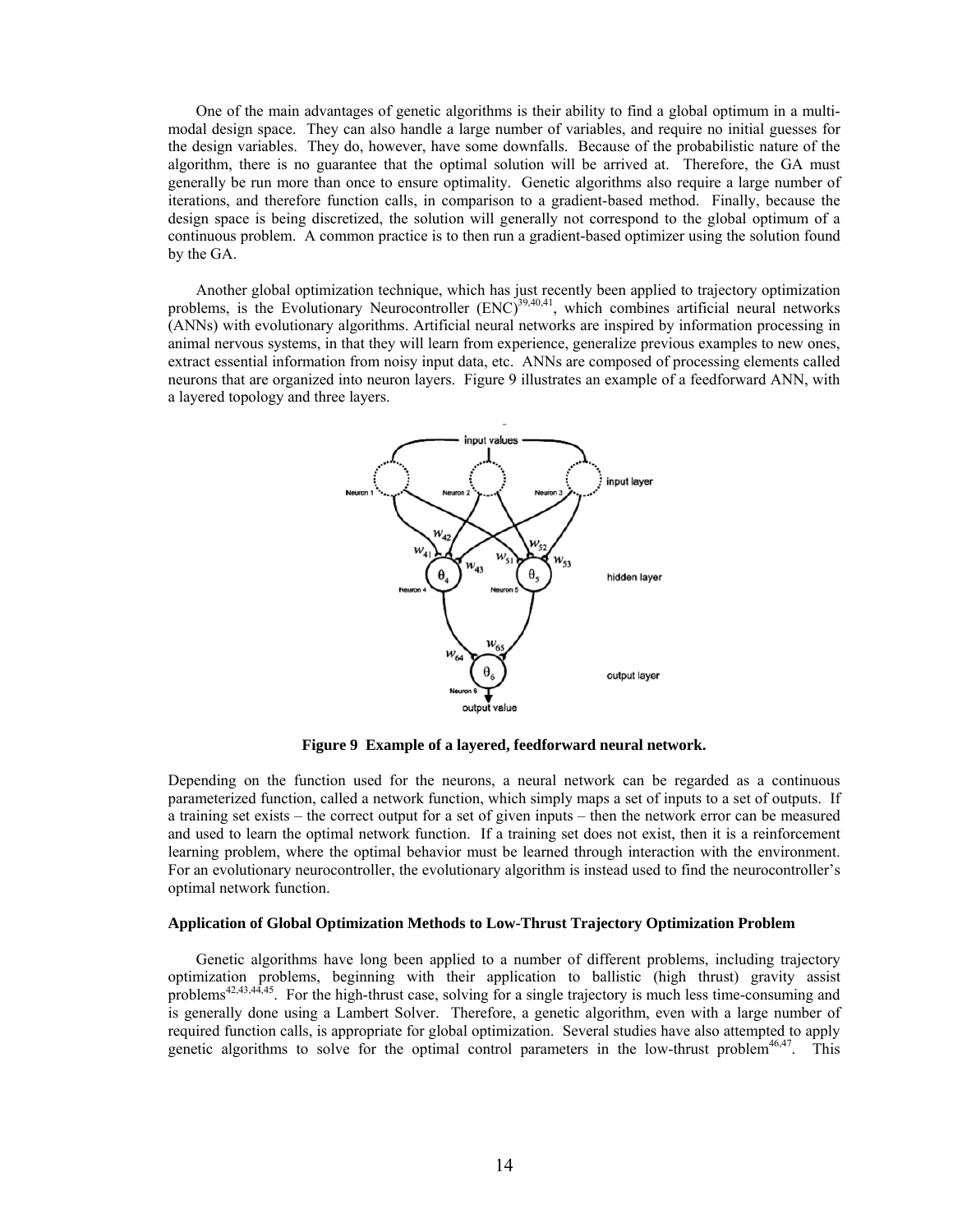One of the main advantages of genetic algorithms is their ability to find a global optimum in a multimodal design space. They can also handle a large number of variables, and require no initial guesses for the design variables. They do, however, have some downfalls. Because of the probabilistic nature of the algorithm, there is no guarantee that the optimal solution will be arrived at. Therefore, the GA must generally be run more than once to ensure optimality. Genetic algorithms also require a large number of iterations, and therefore function calls, in comparison to a gradient-based method. Finally, because the design space is being discretized, the solution will generally not correspond to the global optimum of a continuous problem. A common practice is to then run a gradient-based optimizer using the solution found by the GA.

 Another global optimization technique, which has just recently been applied to trajectory optimization problems, is the Evolutionary Neurocontroller  $(ENC)^{39,40,41}$ , which combines artificial neural networks (ANNs) with evolutionary algorithms. Artificial neural networks are inspired by information processing in animal nervous systems, in that they will learn from experience, generalize previous examples to new ones, extract essential information from noisy input data, etc. ANNs are composed of processing elements called neurons that are organized into neuron layers. Figure 9 illustrates an example of a feedforward ANN, with a layered topology and three layers.



**Figure 9 Example of a layered, feedforward neural network.** 

Depending on the function used for the neurons, a neural network can be regarded as a continuous parameterized function, called a network function, which simply maps a set of inputs to a set of outputs. If a training set exists – the correct output for a set of given inputs – then the network error can be measured and used to learn the optimal network function. If a training set does not exist, then it is a reinforcement learning problem, where the optimal behavior must be learned through interaction with the environment. For an evolutionary neurocontroller, the evolutionary algorithm is instead used to find the neurocontroller's optimal network function.

#### **Application of Global Optimization Methods to Low-Thrust Trajectory Optimization Problem**

 Genetic algorithms have long been applied to a number of different problems, including trajectory optimization problems, beginning with their application to ballistic (high thrust) gravity assist problems<sup>42,43,44,45</sup>. For the high-thrust case, solving for a single trajectory is much less time-consuming and is generally done using a Lambert Solver. Therefore, a genetic algorithm, even with a large number of required function calls, is appropriate for global optimization. Several studies have also attempted to apply genetic algorithms to solve for the optimal control parameters in the low-thrust problem $46,47$ . This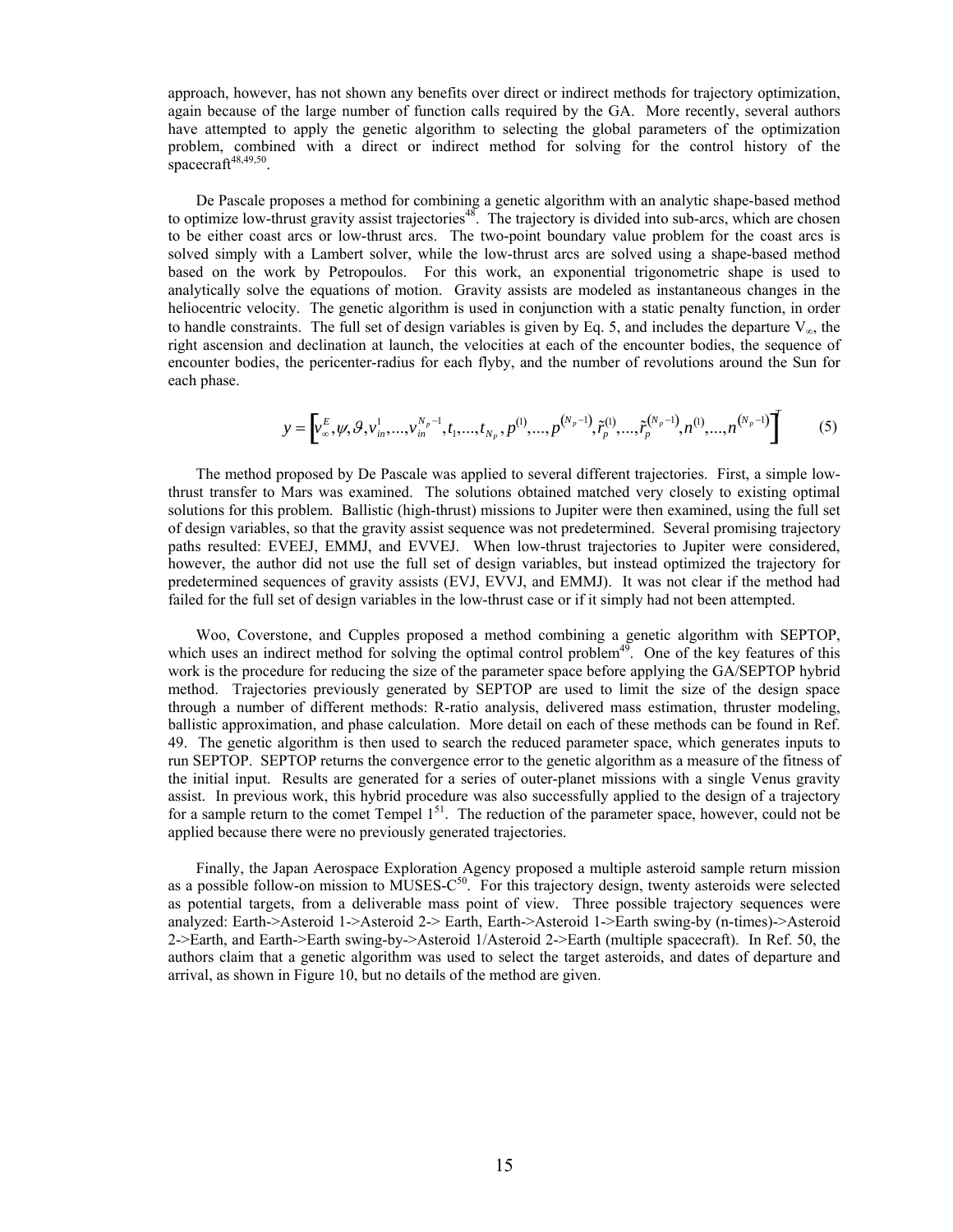approach, however, has not shown any benefits over direct or indirect methods for trajectory optimization, again because of the large number of function calls required by the GA. More recently, several authors have attempted to apply the genetic algorithm to selecting the global parameters of the optimization problem, combined with a direct or indirect method for solving for the control history of the spacecraft $48,49,50$ .

 De Pascale proposes a method for combining a genetic algorithm with an analytic shape-based method to optimize low-thrust gravity assist trajectories<sup>48</sup>. The trajectory is divided into sub-arcs, which are chosen to be either coast arcs or low-thrust arcs. The two-point boundary value problem for the coast arcs is solved simply with a Lambert solver, while the low-thrust arcs are solved using a shape-based method based on the work by Petropoulos. For this work, an exponential trigonometric shape is used to analytically solve the equations of motion. Gravity assists are modeled as instantaneous changes in the heliocentric velocity. The genetic algorithm is used in conjunction with a static penalty function, in order to handle constraints. The full set of design variables is given by Eq. 5, and includes the departure  $V_{\infty}$ , the right ascension and declination at launch, the velocities at each of the encounter bodies, the sequence of encounter bodies, the pericenter-radius for each flyby, and the number of revolutions around the Sun for each phase.

$$
y = \left[ v_{\infty}^{E}, \psi, \mathcal{G}, v_{in}^{1}, \dots, v_{in}^{N_p - 1}, t_1, \dots, t_{N_p}, p^{(1)}, \dots, p^{(N_p - 1)}, \tilde{r}_p^{(1)}, \dots, \tilde{r}_p^{(N_p - 1)}, n^{(1)}, \dots, n^{(N_p - 1)} \right]
$$
(5)

 The method proposed by De Pascale was applied to several different trajectories. First, a simple lowthrust transfer to Mars was examined. The solutions obtained matched very closely to existing optimal solutions for this problem. Ballistic (high-thrust) missions to Jupiter were then examined, using the full set of design variables, so that the gravity assist sequence was not predetermined. Several promising trajectory paths resulted: EVEEJ, EMMJ, and EVVEJ. When low-thrust trajectories to Jupiter were considered, however, the author did not use the full set of design variables, but instead optimized the trajectory for predetermined sequences of gravity assists (EVJ, EVVJ, and EMMJ). It was not clear if the method had failed for the full set of design variables in the low-thrust case or if it simply had not been attempted.

 Woo, Coverstone, and Cupples proposed a method combining a genetic algorithm with SEPTOP, which uses an indirect method for solving the optimal control problem<sup>49</sup>. One of the key features of this work is the procedure for reducing the size of the parameter space before applying the GA/SEPTOP hybrid method. Trajectories previously generated by SEPTOP are used to limit the size of the design space through a number of different methods: R-ratio analysis, delivered mass estimation, thruster modeling, ballistic approximation, and phase calculation. More detail on each of these methods can be found in Ref. 49. The genetic algorithm is then used to search the reduced parameter space, which generates inputs to run SEPTOP. SEPTOP returns the convergence error to the genetic algorithm as a measure of the fitness of the initial input. Results are generated for a series of outer-planet missions with a single Venus gravity assist. In previous work, this hybrid procedure was also successfully applied to the design of a trajectory for a sample return to the comet Tempel  $1<sup>51</sup>$ . The reduction of the parameter space, however, could not be applied because there were no previously generated trajectories.

 Finally, the Japan Aerospace Exploration Agency proposed a multiple asteroid sample return mission as a possible follow-on mission to MUSES- $C^{50}$ . For this trajectory design, twenty asteroids were selected as potential targets, from a deliverable mass point of view. Three possible trajectory sequences were analyzed: Earth->Asteroid 1->Asteroid 2-> Earth, Earth->Asteroid 1->Earth swing-by (n-times)->Asteroid 2->Earth, and Earth->Earth swing-by->Asteroid 1/Asteroid 2->Earth (multiple spacecraft). In Ref. 50, the authors claim that a genetic algorithm was used to select the target asteroids, and dates of departure and arrival, as shown in Figure 10, but no details of the method are given.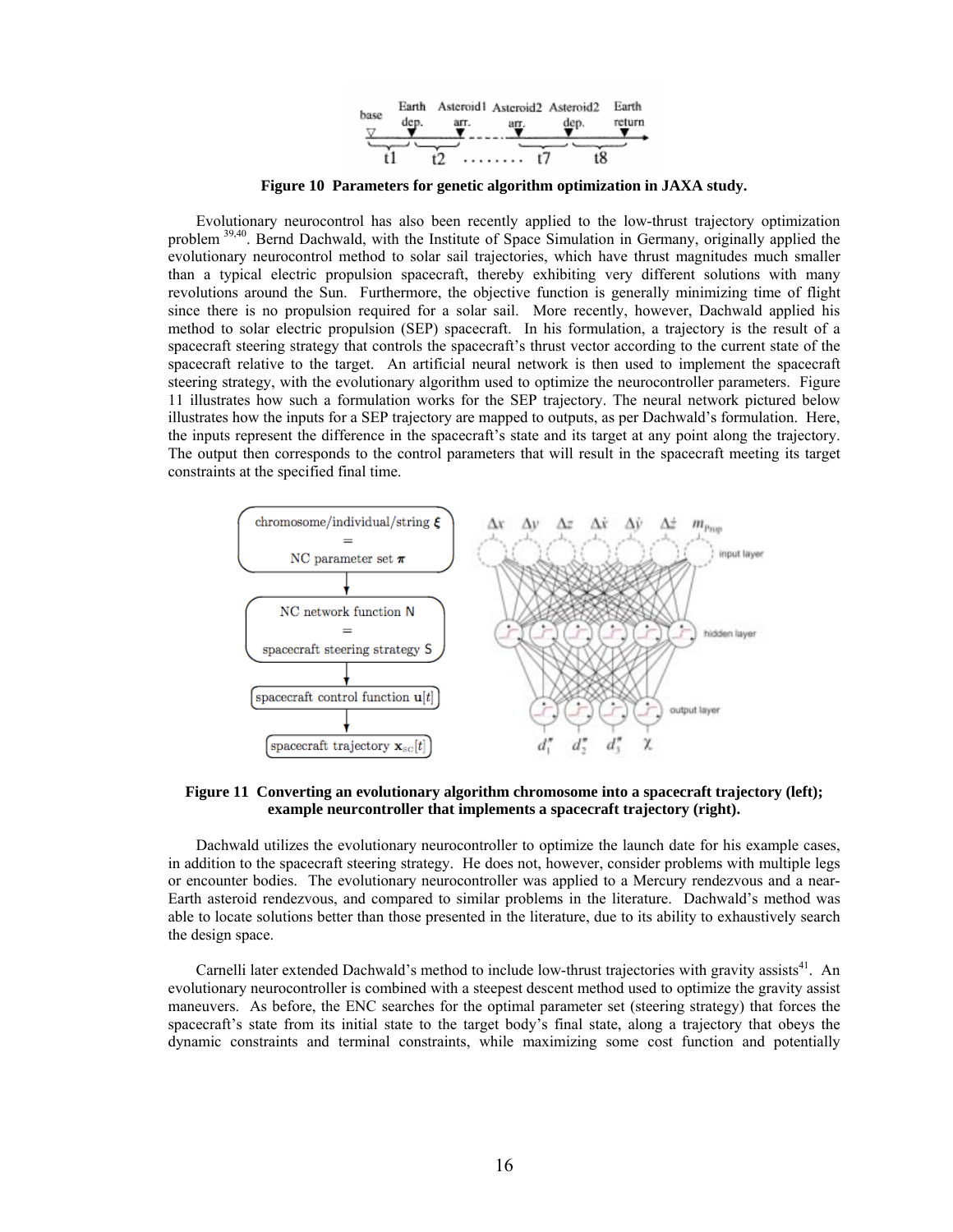

**Figure 10 Parameters for genetic algorithm optimization in JAXA study.** 

 Evolutionary neurocontrol has also been recently applied to the low-thrust trajectory optimization problem 39,40. Bernd Dachwald, with the Institute of Space Simulation in Germany, originally applied the evolutionary neurocontrol method to solar sail trajectories, which have thrust magnitudes much smaller than a typical electric propulsion spacecraft, thereby exhibiting very different solutions with many revolutions around the Sun. Furthermore, the objective function is generally minimizing time of flight since there is no propulsion required for a solar sail. More recently, however, Dachwald applied his method to solar electric propulsion (SEP) spacecraft. In his formulation, a trajectory is the result of a spacecraft steering strategy that controls the spacecraft's thrust vector according to the current state of the spacecraft relative to the target. An artificial neural network is then used to implement the spacecraft steering strategy, with the evolutionary algorithm used to optimize the neurocontroller parameters. Figure 11 illustrates how such a formulation works for the SEP trajectory. The neural network pictured below illustrates how the inputs for a SEP trajectory are mapped to outputs, as per Dachwald's formulation. Here, the inputs represent the difference in the spacecraft's state and its target at any point along the trajectory. The output then corresponds to the control parameters that will result in the spacecraft meeting its target constraints at the specified final time.



**Figure 11 Converting an evolutionary algorithm chromosome into a spacecraft trajectory (left); example neurcontroller that implements a spacecraft trajectory (right).** 

 Dachwald utilizes the evolutionary neurocontroller to optimize the launch date for his example cases, in addition to the spacecraft steering strategy. He does not, however, consider problems with multiple legs or encounter bodies. The evolutionary neurocontroller was applied to a Mercury rendezvous and a near-Earth asteroid rendezvous, and compared to similar problems in the literature. Dachwald's method was able to locate solutions better than those presented in the literature, due to its ability to exhaustively search the design space.

Carnelli later extended Dachwald's method to include low-thrust trajectories with gravity assists<sup>41</sup>. An evolutionary neurocontroller is combined with a steepest descent method used to optimize the gravity assist maneuvers. As before, the ENC searches for the optimal parameter set (steering strategy) that forces the spacecraft's state from its initial state to the target body's final state, along a trajectory that obeys the dynamic constraints and terminal constraints, while maximizing some cost function and potentially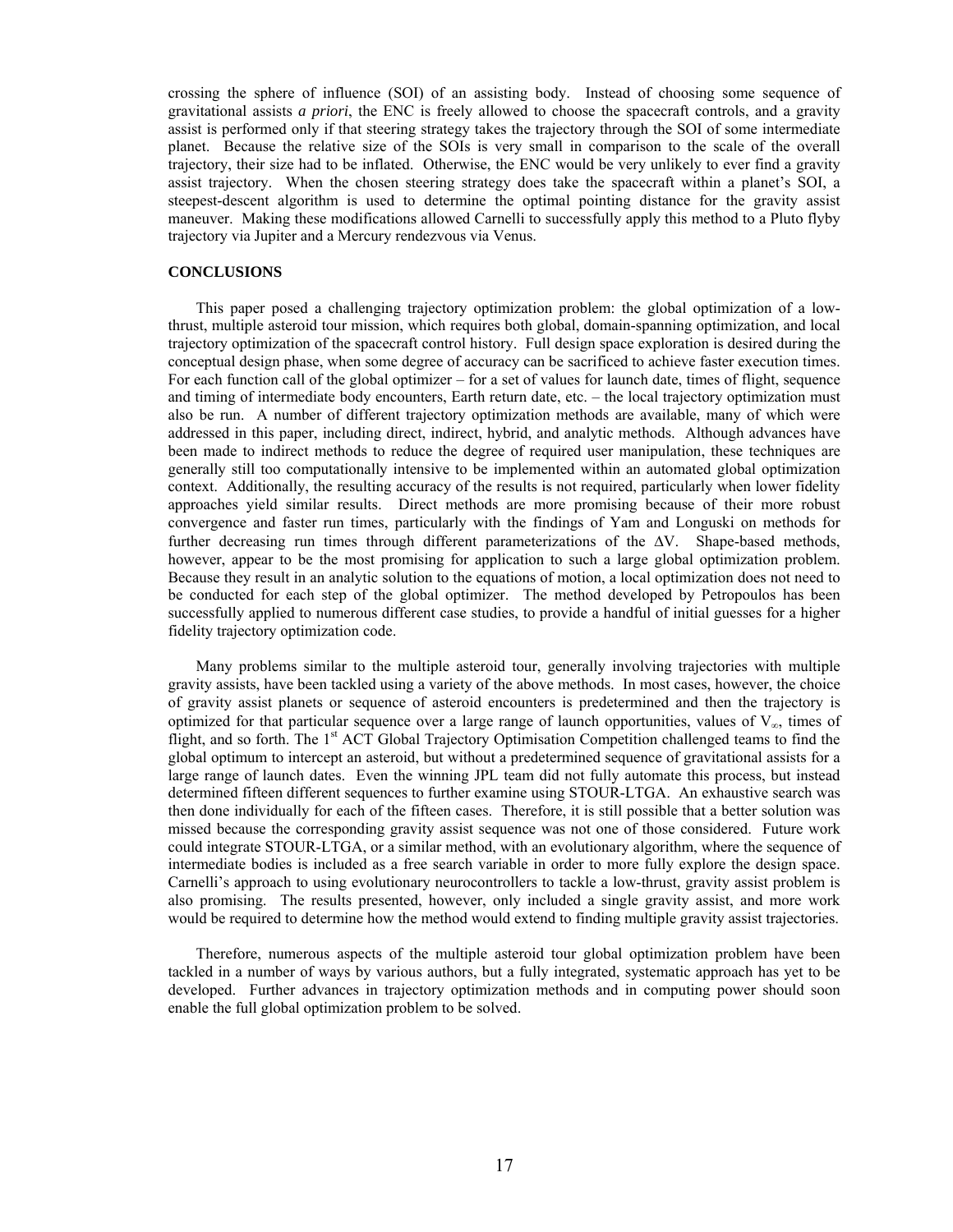crossing the sphere of influence (SOI) of an assisting body. Instead of choosing some sequence of gravitational assists *a priori*, the ENC is freely allowed to choose the spacecraft controls, and a gravity assist is performed only if that steering strategy takes the trajectory through the SOI of some intermediate planet. Because the relative size of the SOIs is very small in comparison to the scale of the overall trajectory, their size had to be inflated. Otherwise, the ENC would be very unlikely to ever find a gravity assist trajectory. When the chosen steering strategy does take the spacecraft within a planet's SOI, a steepest-descent algorithm is used to determine the optimal pointing distance for the gravity assist maneuver. Making these modifications allowed Carnelli to successfully apply this method to a Pluto flyby trajectory via Jupiter and a Mercury rendezvous via Venus.

#### **CONCLUSIONS**

 This paper posed a challenging trajectory optimization problem: the global optimization of a lowthrust, multiple asteroid tour mission, which requires both global, domain-spanning optimization, and local trajectory optimization of the spacecraft control history. Full design space exploration is desired during the conceptual design phase, when some degree of accuracy can be sacrificed to achieve faster execution times. For each function call of the global optimizer – for a set of values for launch date, times of flight, sequence and timing of intermediate body encounters, Earth return date, etc. – the local trajectory optimization must also be run. A number of different trajectory optimization methods are available, many of which were addressed in this paper, including direct, indirect, hybrid, and analytic methods. Although advances have been made to indirect methods to reduce the degree of required user manipulation, these techniques are generally still too computationally intensive to be implemented within an automated global optimization context. Additionally, the resulting accuracy of the results is not required, particularly when lower fidelity approaches yield similar results. Direct methods are more promising because of their more robust convergence and faster run times, particularly with the findings of Yam and Longuski on methods for further decreasing run times through different parameterizations of the ∆V. Shape-based methods, however, appear to be the most promising for application to such a large global optimization problem. Because they result in an analytic solution to the equations of motion, a local optimization does not need to be conducted for each step of the global optimizer. The method developed by Petropoulos has been successfully applied to numerous different case studies, to provide a handful of initial guesses for a higher fidelity trajectory optimization code.

 Many problems similar to the multiple asteroid tour, generally involving trajectories with multiple gravity assists, have been tackled using a variety of the above methods. In most cases, however, the choice of gravity assist planets or sequence of asteroid encounters is predetermined and then the trajectory is optimized for that particular sequence over a large range of launch opportunities, values of  $V_{\infty}$ , times of flight, and so forth. The 1<sup>st</sup> ACT Global Trajectory Optimisation Competition challenged teams to find the global optimum to intercept an asteroid, but without a predetermined sequence of gravitational assists for a large range of launch dates. Even the winning JPL team did not fully automate this process, but instead determined fifteen different sequences to further examine using STOUR-LTGA. An exhaustive search was then done individually for each of the fifteen cases. Therefore, it is still possible that a better solution was missed because the corresponding gravity assist sequence was not one of those considered. Future work could integrate STOUR-LTGA, or a similar method, with an evolutionary algorithm, where the sequence of intermediate bodies is included as a free search variable in order to more fully explore the design space. Carnelli's approach to using evolutionary neurocontrollers to tackle a low-thrust, gravity assist problem is also promising. The results presented, however, only included a single gravity assist, and more work would be required to determine how the method would extend to finding multiple gravity assist trajectories.

 Therefore, numerous aspects of the multiple asteroid tour global optimization problem have been tackled in a number of ways by various authors, but a fully integrated, systematic approach has yet to be developed. Further advances in trajectory optimization methods and in computing power should soon enable the full global optimization problem to be solved.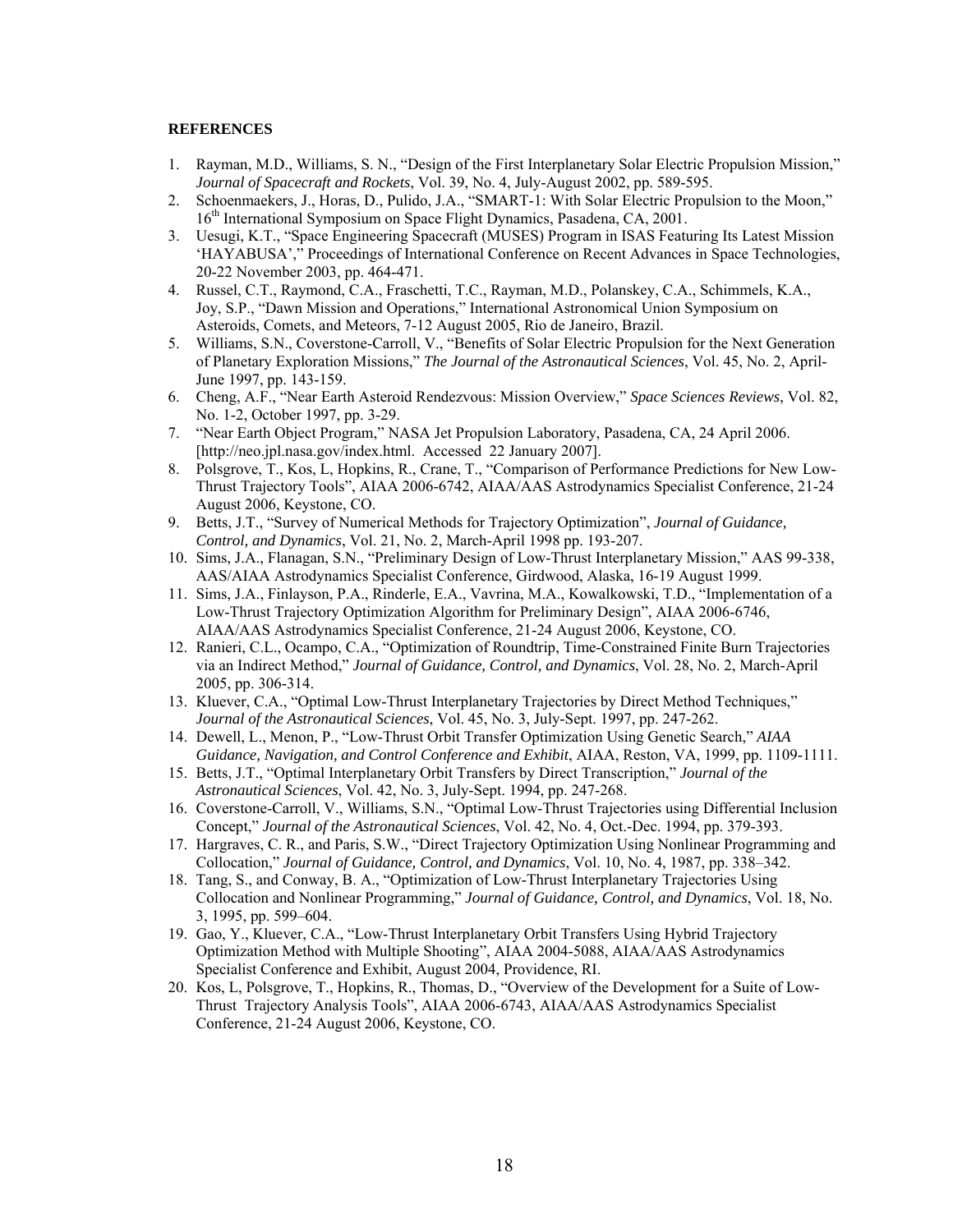## **REFERENCES**

- 1. Rayman, M.D., Williams, S. N., "Design of the First Interplanetary Solar Electric Propulsion Mission," *Journal of Spacecraft and Rockets*, Vol. 39, No. 4, July-August 2002, pp. 589-595.
- 2. Schoenmaekers, J., Horas, D., Pulido, J.A., "SMART-1: With Solar Electric Propulsion to the Moon," 16<sup>th</sup> International Symposium on Space Flight Dynamics, Pasadena, CA, 2001.
- 3. Uesugi, K.T., "Space Engineering Spacecraft (MUSES) Program in ISAS Featuring Its Latest Mission 'HAYABUSA'," Proceedings of International Conference on Recent Advances in Space Technologies, 20-22 November 2003, pp. 464-471.
- 4. Russel, C.T., Raymond, C.A., Fraschetti, T.C., Rayman, M.D., Polanskey, C.A., Schimmels, K.A., Joy, S.P., "Dawn Mission and Operations," International Astronomical Union Symposium on Asteroids, Comets, and Meteors, 7-12 August 2005, Rio de Janeiro, Brazil.
- 5. Williams, S.N., Coverstone-Carroll, V., "Benefits of Solar Electric Propulsion for the Next Generation of Planetary Exploration Missions," *The Journal of the Astronautical Sciences*, Vol. 45, No. 2, April-June 1997, pp. 143-159.
- 6. Cheng, A.F., "Near Earth Asteroid Rendezvous: Mission Overview," *Space Sciences Reviews*, Vol. 82, No. 1-2, October 1997, pp. 3-29.
- 7. "Near Earth Object Program," NASA Jet Propulsion Laboratory, Pasadena, CA, 24 April 2006. [http://neo.jpl.nasa.gov/index.html. Accessed 22 January 2007].
- 8. Polsgrove, T., Kos, L, Hopkins, R., Crane, T., "Comparison of Performance Predictions for New Low-Thrust Trajectory Tools", AIAA 2006-6742, AIAA/AAS Astrodynamics Specialist Conference, 21-24 August 2006, Keystone, CO.
- 9. Betts, J.T., "Survey of Numerical Methods for Trajectory Optimization", *Journal of Guidance, Control, and Dynamics*, Vol. 21, No. 2, March-April 1998 pp. 193-207.
- 10. Sims, J.A., Flanagan, S.N., "Preliminary Design of Low-Thrust Interplanetary Mission," AAS 99-338, AAS/AIAA Astrodynamics Specialist Conference, Girdwood, Alaska, 16-19 August 1999.
- 11. Sims, J.A., Finlayson, P.A., Rinderle, E.A., Vavrina, M.A., Kowalkowski, T.D., "Implementation of a Low-Thrust Trajectory Optimization Algorithm for Preliminary Design", AIAA 2006-6746, AIAA/AAS Astrodynamics Specialist Conference, 21-24 August 2006, Keystone, CO.
- 12. Ranieri, C.L., Ocampo, C.A., "Optimization of Roundtrip, Time-Constrained Finite Burn Trajectories via an Indirect Method," *Journal of Guidance, Control, and Dynamics*, Vol. 28, No. 2, March-April 2005, pp. 306-314.
- 13. Kluever, C.A., "Optimal Low-Thrust Interplanetary Trajectories by Direct Method Techniques," *Journal of the Astronautical Sciences*, Vol. 45, No. 3, July-Sept. 1997, pp. 247-262.
- 14. Dewell, L., Menon, P., "Low-Thrust Orbit Transfer Optimization Using Genetic Search," *AIAA Guidance, Navigation, and Control Conference and Exhibit*, AIAA, Reston, VA, 1999, pp. 1109-1111.
- 15. Betts, J.T., "Optimal Interplanetary Orbit Transfers by Direct Transcription," *Journal of the Astronautical Sciences*, Vol. 42, No. 3, July-Sept. 1994, pp. 247-268.
- 16. Coverstone-Carroll, V., Williams, S.N., "Optimal Low-Thrust Trajectories using Differential Inclusion Concept," *Journal of the Astronautical Sciences*, Vol. 42, No. 4, Oct.-Dec. 1994, pp. 379-393.
- 17. Hargraves, C. R., and Paris, S.W., "Direct Trajectory Optimization Using Nonlinear Programming and Collocation," *Journal of Guidance, Control, and Dynamics*, Vol. 10, No. 4, 1987, pp. 338–342.
- 18. Tang, S., and Conway, B. A., "Optimization of Low-Thrust Interplanetary Trajectories Using Collocation and Nonlinear Programming," *Journal of Guidance, Control, and Dynamics*, Vol. 18, No. 3, 1995, pp. 599–604.
- 19. Gao, Y., Kluever, C.A., "Low-Thrust Interplanetary Orbit Transfers Using Hybrid Trajectory Optimization Method with Multiple Shooting", AIAA 2004-5088, AIAA/AAS Astrodynamics Specialist Conference and Exhibit, August 2004, Providence, RI.
- 20. Kos, L, Polsgrove, T., Hopkins, R., Thomas, D., "Overview of the Development for a Suite of Low-Thrust Trajectory Analysis Tools", AIAA 2006-6743, AIAA/AAS Astrodynamics Specialist Conference, 21-24 August 2006, Keystone, CO.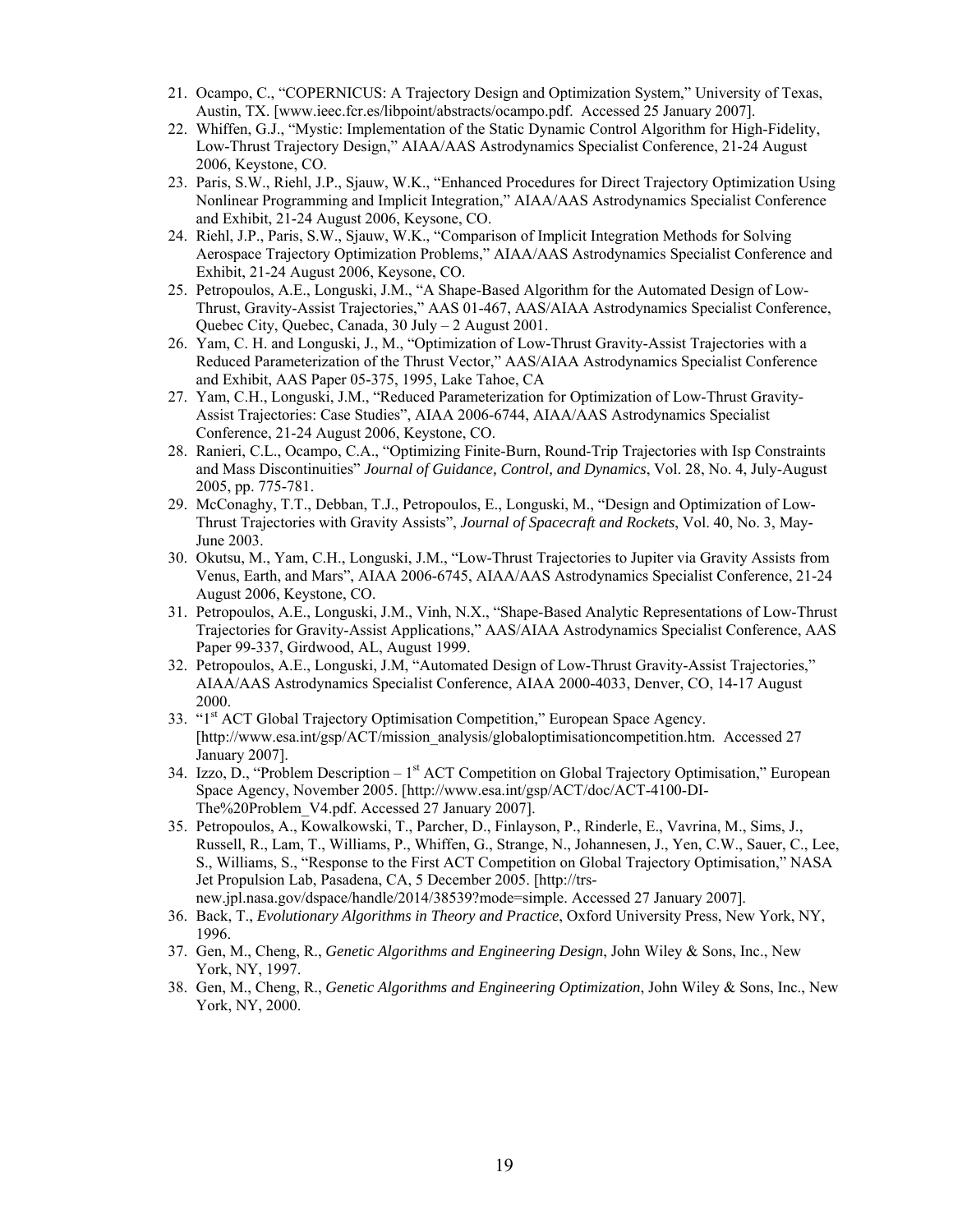- 21. Ocampo, C., "COPERNICUS: A Trajectory Design and Optimization System," University of Texas, Austin, TX. [www.ieec.fcr.es/libpoint/abstracts/ocampo.pdf. Accessed 25 January 2007].
- 22. Whiffen, G.J., "Mystic: Implementation of the Static Dynamic Control Algorithm for High-Fidelity, Low-Thrust Trajectory Design," AIAA/AAS Astrodynamics Specialist Conference, 21-24 August 2006, Keystone, CO.
- 23. Paris, S.W., Riehl, J.P., Sjauw, W.K., "Enhanced Procedures for Direct Trajectory Optimization Using Nonlinear Programming and Implicit Integration," AIAA/AAS Astrodynamics Specialist Conference and Exhibit, 21-24 August 2006, Keysone, CO.
- 24. Riehl, J.P., Paris, S.W., Sjauw, W.K., "Comparison of Implicit Integration Methods for Solving Aerospace Trajectory Optimization Problems," AIAA/AAS Astrodynamics Specialist Conference and Exhibit, 21-24 August 2006, Keysone, CO.
- 25. Petropoulos, A.E., Longuski, J.M., "A Shape-Based Algorithm for the Automated Design of Low-Thrust, Gravity-Assist Trajectories," AAS 01-467, AAS/AIAA Astrodynamics Specialist Conference, Quebec City, Quebec, Canada, 30 July – 2 August 2001.
- 26. Yam, C. H. and Longuski, J., M., "Optimization of Low-Thrust Gravity-Assist Trajectories with a Reduced Parameterization of the Thrust Vector," AAS/AIAA Astrodynamics Specialist Conference and Exhibit, AAS Paper 05-375, 1995, Lake Tahoe, CA
- 27. Yam, C.H., Longuski, J.M., "Reduced Parameterization for Optimization of Low-Thrust Gravity-Assist Trajectories: Case Studies", AIAA 2006-6744, AIAA/AAS Astrodynamics Specialist Conference, 21-24 August 2006, Keystone, CO.
- 28. Ranieri, C.L., Ocampo, C.A., "Optimizing Finite-Burn, Round-Trip Trajectories with Isp Constraints and Mass Discontinuities" *Journal of Guidance, Control, and Dynamics*, Vol. 28, No. 4, July-August 2005, pp. 775-781.
- 29. McConaghy, T.T., Debban, T.J., Petropoulos, E., Longuski, M., "Design and Optimization of Low-Thrust Trajectories with Gravity Assists", *Journal of Spacecraft and Rockets*, Vol. 40, No. 3, May-June 2003.
- 30. Okutsu, M., Yam, C.H., Longuski, J.M., "Low-Thrust Trajectories to Jupiter via Gravity Assists from Venus, Earth, and Mars", AIAA 2006-6745, AIAA/AAS Astrodynamics Specialist Conference, 21-24 August 2006, Keystone, CO.
- 31. Petropoulos, A.E., Longuski, J.M., Vinh, N.X., "Shape-Based Analytic Representations of Low-Thrust Trajectories for Gravity-Assist Applications," AAS/AIAA Astrodynamics Specialist Conference, AAS Paper 99-337, Girdwood, AL, August 1999.
- 32. Petropoulos, A.E., Longuski, J.M, "Automated Design of Low-Thrust Gravity-Assist Trajectories," AIAA/AAS Astrodynamics Specialist Conference, AIAA 2000-4033, Denver, CO, 14-17 August 2000.
- 33. "1<sup>st</sup> ACT Global Trajectory Optimisation Competition," European Space Agency. [http://www.esa.int/gsp/ACT/mission\_analysis/globaloptimisationcompetition.htm. Accessed 27 January 2007].
- 34. Izzo, D., "Problem Description  $-1<sup>st</sup>$  ACT Competition on Global Trajectory Optimisation," European Space Agency, November 2005. [http://www.esa.int/gsp/ACT/doc/ACT-4100-DI-The%20Problem\_V4.pdf. Accessed 27 January 2007].
- 35. Petropoulos, A., Kowalkowski, T., Parcher, D., Finlayson, P., Rinderle, E., Vavrina, M., Sims, J., Russell, R., Lam, T., Williams, P., Whiffen, G., Strange, N., Johannesen, J., Yen, C.W., Sauer, C., Lee, S., Williams, S., "Response to the First ACT Competition on Global Trajectory Optimisation," NASA Jet Propulsion Lab, Pasadena, CA, 5 December 2005. [http://trsnew.jpl.nasa.gov/dspace/handle/2014/38539?mode=simple. Accessed 27 January 2007].
- 36. Back, T., *Evolutionary Algorithms in Theory and Practice*, Oxford University Press, New York, NY, 1996.
- 37. Gen, M., Cheng, R., *Genetic Algorithms and Engineering Design*, John Wiley & Sons, Inc., New York, NY, 1997.
- 38. Gen, M., Cheng, R., *Genetic Algorithms and Engineering Optimization*, John Wiley & Sons, Inc., New York, NY, 2000.